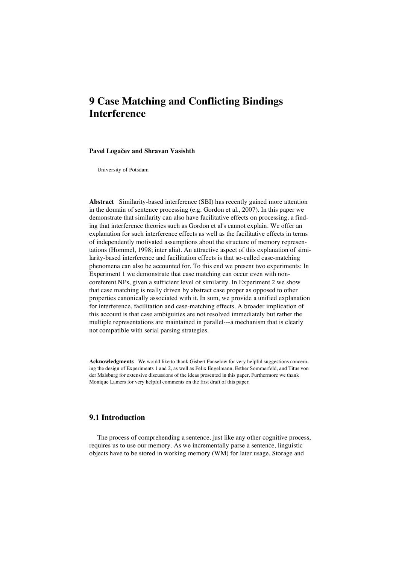# **9 Case Matching and Conflicting Bindings Interference**

**Pavel Logačev and Shravan Vasishth**

University of Potsdam

**Abstract** Similarity-based interference (SBI) has recently gained more attention in the domain of sentence processing (e.g. Gordon et al., 2007). In this paper we demonstrate that similarity can also have facilitative effects on processing, a finding that interference theories such as Gordon et al's cannot explain. We offer an explanation for such interference effects as well as the facilitative effects in terms of independently motivated assumptions about the structure of memory representations (Hommel, 1998; inter alia). An attractive aspect of this explanation of similarity-based interference and facilitation effects is that so-called case-matching phenomena can also be accounted for. To this end we present two experiments: In Experiment 1 we demonstrate that case matching can occur even with noncoreferent NPs, given a sufficient level of similarity. In Experiment 2 we show that case matching is really driven by abstract case proper as opposed to other properties canonically associated with it. In sum, we provide a unified explanation for interference, facilitation and case-matching effects. A broader implication of this account is that case ambiguities are not resolved immediately but rather the multiple representations are maintained in parallel---a mechanism that is clearly not compatible with serial parsing strategies.

**Acknowledgments** We would like to thank Gisbert Fanselow for very helpful suggestions concerning the design of Experiments 1 and 2, as well as Felix Engelmann, Esther Sommerfeld, and Titus von der Malsburg for extensive discussions of the ideas presented in this paper. Furthermore we thank Monique Lamers for very helpful comments on the first draft of this paper.

# **9.1 Introduction**

The process of comprehending a sentence, just like any other cognitive process, requires us to use our memory. As we incrementally parse a sentence, linguistic objects have to be stored in working memory (WM) for later usage. Storage and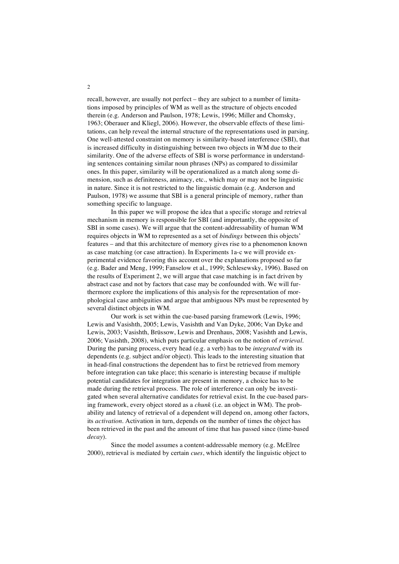recall, however, are usually not perfect – they are subject to a number of limitations imposed by principles of WM as well as the structure of objects encoded therein (e.g. Anderson and Paulson, 1978; Lewis, 1996; Miller and Chomsky, 1963; Oberauer and Kliegl, 2006). However, the observable effects of these limitations, can help reveal the internal structure of the representations used in parsing. One well-attested constraint on memory is similarity-based interference (SBI), that is increased difficulty in distinguishing between two objects in WM due to their similarity. One of the adverse effects of SBI is worse performance in understanding sentences containing similar noun phrases (NPs) as compared to dissimilar ones. In this paper, similarity will be operationalized as a match along some dimension, such as definiteness, animacy, etc., which may or may not be linguistic in nature. Since it is not restricted to the linguistic domain (e.g. Anderson and Paulson, 1978) we assume that SBI is a general principle of memory, rather than something specific to language.

In this paper we will propose the idea that a specific storage and retrieval mechanism in memory is responsible for SBI (and importantly, the opposite of SBI in some cases). We will argue that the content-addressability of human WM requires objects in WM to represented as a set of *bindings* between this objects' features – and that this architecture of memory gives rise to a phenomenon known as case matching (or case attraction). In Experiments 1a-c we will provide experimental evidence favoring this account over the explanations proposed so far (e.g. Bader and Meng, 1999; Fanselow et al., 1999; Schlesewsky, 1996). Based on the results of Experiment 2, we will argue that case matching is in fact driven by abstract case and not by factors that case may be confounded with. We will furthermore explore the implications of this analysis for the representation of morphological case ambiguities and argue that ambiguous NPs must be represented by several distinct objects in WM.

Our work is set within the cue-based parsing framework (Lewis, 1996; Lewis and Vasishth, 2005; Lewis, Vasishth and Van Dyke, 2006; Van Dyke and Lewis, 2003; Vasishth, Brüssow, Lewis and Drenhaus, 2008; Vasishth and Lewis, 2006; Vasishth, 2008), which puts particular emphasis on the notion of *retrieval*. During the parsing process, every head (e.g. a verb) has to be *integrated* with its dependents (e.g. subject and/or object). This leads to the interesting situation that in head-final constructions the dependent has to first be retrieved from memory before integration can take place; this scenario is interesting because if multiple potential candidates for integration are present in memory, a choice has to be made during the retrieval process. The role of interference can only be investigated when several alternative candidates for retrieval exist. In the cue-based parsing framework, every object stored as a *chunk* (i.e. an object in WM). The probability and latency of retrieval of a dependent will depend on, among other factors, its *activation*. Activation in turn, depends on the number of times the object has been retrieved in the past and the amount of time that has passed since (time-based *decay*).

Since the model assumes a content-addressable memory (e.g. McElree 2000), retrieval is mediated by certain *cues*, which identify the linguistic object to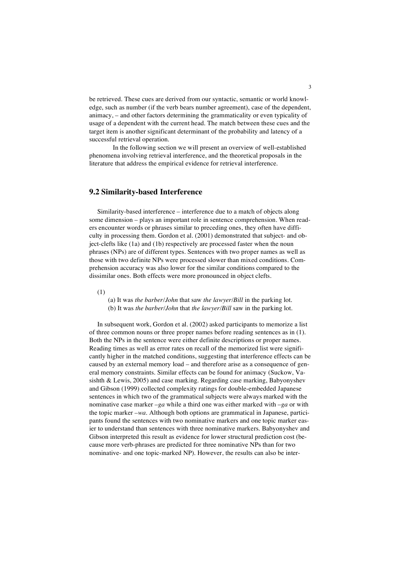be retrieved. These cues are derived from our syntactic, semantic or world knowledge, such as number (if the verb bears number agreement), case of the dependent, animacy, – and other factors determining the grammaticality or even typicality of usage of a dependent with the current head. The match between these cues and the target item is another significant determinant of the probability and latency of a successful retrieval operation.

In the following section we will present an overview of well-established phenomena involving retrieval interference, and the theoretical proposals in the literature that address the empirical evidence for retrieval interference.

### **9.2 Similarity-based Interference**

Similarity-based interference – interference due to a match of objects along some dimension – plays an important role in sentence comprehension. When readers encounter words or phrases similar to preceding ones, they often have difficulty in processing them. Gordon et al. (2001) demonstrated that subject- and object-clefts like (1a) and (1b) respectively are processed faster when the noun phrases (NPs) are of different types. Sentences with two proper names as well as those with two definite NPs were processed slower than mixed conditions. Comprehension accuracy was also lower for the similar conditions compared to the dissimilar ones. Both effects were more pronounced in object clefts.

(1)

(a) It was *the barber/John* that saw *the lawyer/Bill* in the parking lot. (b) It was *the barber/John* that *the lawyer/Bill* saw in the parking lot.

In subsequent work, Gordon et al. (2002) asked participants to memorize a list of three common nouns or three proper names before reading sentences as in (1). Both the NPs in the sentence were either definite descriptions or proper names. Reading times as well as error rates on recall of the memorized list were significantly higher in the matched conditions, suggesting that interference effects can be caused by an external memory load – and therefore arise as a consequence of general memory constraints. Similar effects can be found for animacy (Suckow, Vasishth & Lewis, 2005) and case marking. Regarding case marking, Babyonyshev and Gibson (1999) collected complexity ratings for double-embedded Japanese sentences in which two of the grammatical subjects were always marked with the nominative case marker *–ga* while a third one was either marked with –*ga* or with the topic marker *–wa*. Although both options are grammatical in Japanese, participants found the sentences with two nominative markers and one topic marker easier to understand than sentences with three nominative markers. Babyonyshev and Gibson interpreted this result as evidence for lower structural prediction cost (because more verb-phrases are predicted for three nominative NPs than for two nominative- and one topic-marked NP). However, the results can also be inter-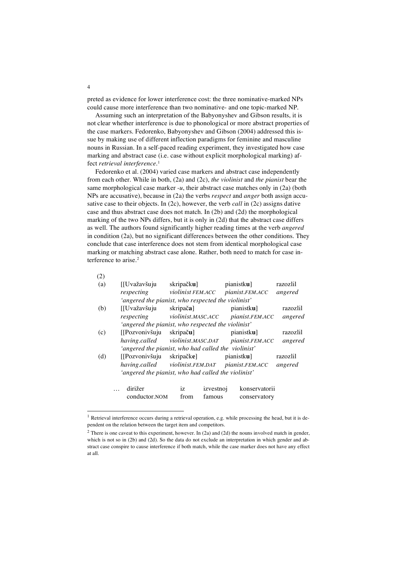preted as evidence for lower interference cost: the three nominative-marked NPs could cause more interference than two nominative- and one topic-marked NP.

Assuming such an interpretation of the Babyonyshev and Gibson results, it is not clear whether interference is due to phonological or more abstract properties of the case markers. Fedorenko, Babyonyshev and Gibson (2004) addressed this issue by making use of different inflection paradigms for feminine and masculine nouns in Russian. In a self-paced reading experiment, they investigated how case marking and abstract case (i.e. case without explicit morphological marking) affect *retrieval interference*. 1

Fedorenko et al. (2004) varied case markers and abstract case independently from each other. While in both, (2a) and (2c), *the violinist* and *the pianist* bear the same morphological case marker *-u*, their abstract case matches only in (2a) (both NPs are accusative), because in (2a) the verbs *respect* and *anger* both assign accusative case to their objects. In (2c), however, the verb *call* in (2c) assigns dative case and thus abstract case does not match. In (2b) and (2d) the morphological marking of the two NPs differs, but it is only in (2d) that the abstract case differs as well. The authors found significantly higher reading times at the verb *angered* in condition (2a), but no significant differences between the other conditions. They conclude that case interference does not stem from identical morphological case marking or matching abstract case alone. Rather, both need to match for case interference to arise. 2

(2)

| (a) | [[Uvažavšuju   | skripačk <b>u</b> ]                                 | pianistk <b>u</b> ]                              | razozlil |
|-----|----------------|-----------------------------------------------------|--------------------------------------------------|----------|
|     | respecting     | violinist FEM.ACC pianist.FEM.ACC                   |                                                  | angered  |
|     |                | 'angered the pianist, who respected the violinist'  |                                                  |          |
| (b) | [[Uvažavšuju   | skripača                                            | pianistku]                                       | razozlil |
|     | respecting     |                                                     | violinist.MASC.ACC pianist.FEM.ACC               | angered  |
|     |                | 'angered the pianist, who respected the violinist'  |                                                  |          |
| (c) | [[Pozvonivšuju | skripač <b>u</b> ]                                  | pianistk <b>u</b> ]                              | razozlil |
|     |                |                                                     | having.called violinist.MASC.DAT pianist.FEM.ACC | angered  |
|     |                | 'angered the pianist, who had called the violinist' |                                                  |          |
| (d) | [[Pozvonivšuju | skripačk <b>e</b> ]                                 | pianistk <b>u</b> ]                              | razozlil |
|     |                | having.called violinist.FEM.DAT pianist.FEM.ACC     |                                                  | angered  |
|     |                | 'angered the pianist, who had called the violinist' |                                                  |          |
|     |                |                                                     |                                                  |          |
|     | dirižer        | iz<br>izvestnoj                                     | konservatorii                                    |          |
|     | conductor.NOM  | famous<br>from                                      | conservatory                                     |          |

 $1$  Retrieval interference occurs during a retrieval operation, e.g. while processing the head, but it is dependent on the relation between the target item and competitors.

<sup>&</sup>lt;sup>2</sup> There is one caveat to this experiment, however. In (2a) and (2d) the nouns involved match in gender, which is not so in (2b) and (2d). So the data do not exclude an interpretation in which gender and abstract case conspire to cause interference if both match, while the case marker does not have any effect at all.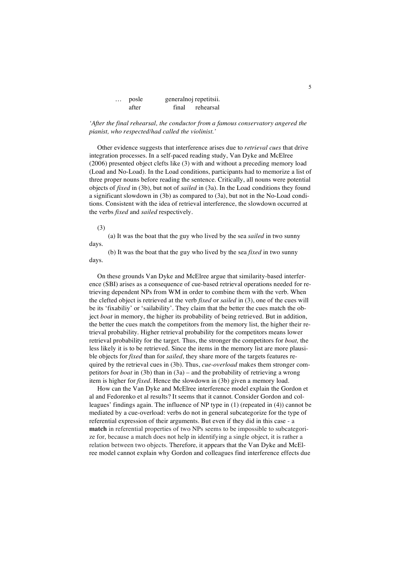| $\ldots$ posle | generalnoj repetitsii. |                 |
|----------------|------------------------|-----------------|
| after          |                        | final rehearsal |

*'After the final rehearsal, the conductor from a famous conservatory angered the pianist, who respected/had called the violinist.'*

Other evidence suggests that interference arises due to *retrieval cues* that drive integration processes. In a self-paced reading study, Van Dyke and McElree (2006) presented object clefts like (3) with and without a preceding memory load (Load and No-Load). In the Load conditions, participants had to memorize a list of three proper nouns before reading the sentence. Critically, all nouns were potential objects of *fixed* in (3b), but not of *sailed* in (3a). In the Load conditions they found a significant slowdown in (3b) as compared to (3a), but not in the No-Load conditions. Consistent with the idea of retrieval interference, the slowdown occurred at the verbs *fixed* and *sailed* respectively.

(3)

(a) It was the boat that the guy who lived by the sea *sailed* in two sunny days.

(b) It was the boat that the guy who lived by the sea *fixed* in two sunny days.

On these grounds Van Dyke and McElree argue that similarity-based interference (SBI) arises as a consequence of cue-based retrieval operations needed for retrieving dependent NPs from WM in order to combine them with the verb. When the clefted object is retrieved at the verb *fixed* or *sailed* in (3), one of the cues will be its 'fixabiliy' or 'sailability'. They claim that the better the cues match the object *boat* in memory, the higher its probability of being retrieved. But in addition, the better the cues match the competitors from the memory list, the higher their retrieval probability. Higher retrieval probability for the competitors means lower retrieval probability for the target. Thus, the stronger the competitors for *boat,* the less likely it is to be retrieved. Since the items in the memory list are more plausible objects for *fixed* than for *sailed*, they share more of the targets features required by the retrieval cues in (3b). Thus, *cue-overload* makes them stronger competitors for *boat* in (3b) than in (3a) – and the probability of retrieving a wrong item is higher for *fixed*. Hence the slowdown in (3b) given a memory load.

How can the Van Dyke and McElree interference model explain the Gordon et al and Fedorenko et al results? It seems that it cannot. Consider Gordon and colleagues' findings again. The influence of NP type in (1) (repeated in (4)) cannot be mediated by a cue-overload: verbs do not in general subcategorize for the type of referential expression of their arguments. But even if they did in this case - a **match** in referential properties of two NPs seems to be impossible to subcategorize for, because a match does not help in identifying a single object, it is rather a relation between two objects. Therefore, it appears that the Van Dyke and McElree model cannot explain why Gordon and colleagues find interference effects due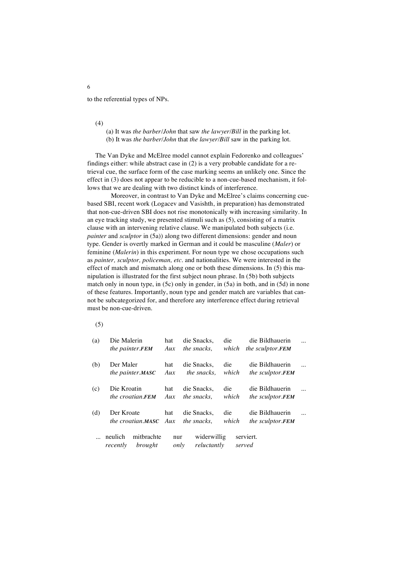to the referential types of NPs.

(4)

(a) It was *the barber/John* that saw *the lawyer/Bill* in the parking lot. (b) It was *the barber/John* that *the lawyer/Bill* saw in the parking lot.

The Van Dyke and McElree model cannot explain Fedorenko and colleagues' findings either: while abstract case in (2) is a very probable candidate for a retrieval cue, the surface form of the case marking seems an unlikely one. Since the effect in (3) does not appear to be reducible to a non-cue-based mechanism, it follows that we are dealing with two distinct kinds of interference.

Moreover, in contrast to Van Dyke and McElree's claims concerning cuebased SBI, recent work (Logacev and Vasishth, in preparation) has demonstrated that non-cue-driven SBI does not rise monotonically with increasing similarity. In an eye tracking study, we presented stimuli such as (5), consisting of a matrix clause with an intervening relative clause. We manipulated both subjects (i.e. *painter* and *sculptor* in (5a)) along two different dimensions: gender and noun type. Gender is overtly marked in German and it could be masculine (*Maler*) or feminine (*Malerin*) in this experiment. For noun type we chose occupations such as *painter, sculptor, policeman, etc.* and nationalities. We were interested in the effect of match and mismatch along one or both these dimensions. In (5) this manipulation is illustrated for the first subject noun phrase. In (5b) both subjects match only in noun type, in (5c) only in gender, in (5a) in both, and in (5d) in none of these features. Importantly, noun type and gender match are variables that cannot be subcategorized for, and therefore any interference effect during retrieval must be non-cue-driven.

(5)

| (a) | Die Malerin<br>the painter.FEM                      | hat<br>Aux  | die Snacks.<br><i>the snacks.</i> | die<br>which | die Bildhauerin<br>the sculptor.FEM | $\cdots$ |
|-----|-----------------------------------------------------|-------------|-----------------------------------|--------------|-------------------------------------|----------|
| (b) | Der Maler<br>the painter.MASC                       | hat<br>Aux  | die Snacks.<br>the snacks,        | die<br>which | die Bildhauerin<br>the sculptor.FEM |          |
| (c) | Die Kroatin<br>the croatian.FEM                     | hat<br>Aux  | die Snacks.<br><i>the snacks.</i> | die<br>which | die Bildhauerin<br>the sculptor.FEM |          |
| (d) | Der Kroate<br><i>the croatian.MASC</i>              | hat<br>Aux  | die Snacks.<br><i>the snacks.</i> | die<br>which | die Bildhauerin<br>the sculptor.FEM |          |
|     | mitbrachte<br>neulich<br>recently<br><i>brought</i> | nur<br>only | widerwillig<br>reluctantly        |              | serviert.<br>served                 |          |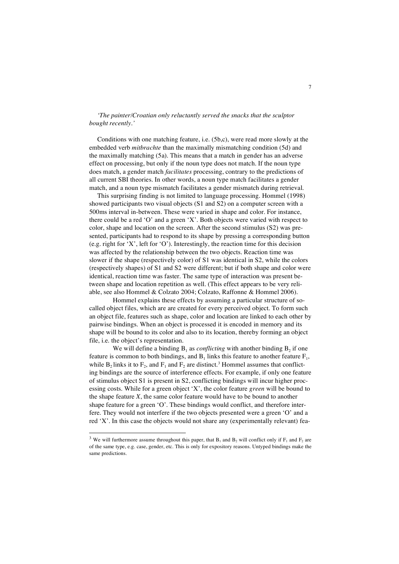### *'The painter/Croatian only reluctantly served the snacks that the sculptor bought recently.'*

Conditions with one matching feature, i.e. (5b,c), were read more slowly at the embedded verb *mitbrachte* than the maximally mismatching condition (5d) and the maximally matching (5a). This means that a match in gender has an adverse effect on processing, but only if the noun type does not match. If the noun type does match, a gender match *facilitates* processing, contrary to the predictions of all current SBI theories. In other words, a noun type match facilitates a gender match, and a noun type mismatch facilitates a gender mismatch during retrieval.

This surprising finding is not limited to language processing. Hommel (1998) showed participants two visual objects (S1 and S2) on a computer screen with a 500ms interval in-between. These were varied in shape and color. For instance, there could be a red 'O' and a green 'X'. Both objects were varied with respect to color, shape and location on the screen. After the second stimulus (S2) was presented, participants had to respond to its shape by pressing a corresponding button (e.g. right for 'X', left for 'O'). Interestingly, the reaction time for this decision was affected by the relationship between the two objects. Reaction time was slower if the shape (respectively color) of S1 was identical in S2, while the colors (respectively shapes) of S1 and S2 were different; but if both shape and color were identical, reaction time was faster. The same type of interaction was present between shape and location repetition as well. (This effect appears to be very reliable, see also Hommel & Colzato 2004; Colzato, Raffonne & Hommel 2006).

Hommel explains these effects by assuming a particular structure of socalled object files, which are are created for every perceived object. To form such an object file, features such as shape, color and location are linked to each other by pairwise bindings. When an object is processed it is encoded in memory and its shape will be bound to its color and also to its location, thereby forming an object file, i.e. the object's representation.

We will define a binding  $B_1$  as *conflicting* with another binding  $B_2$  if one feature is common to both bindings, and  $B_1$  links this feature to another feature  $F_1$ , while  $B_2$  links it to  $F_2$ , and  $F_1$  and  $F_2$  are distinct.<sup>3</sup> Hommel assumes that conflicting bindings are the source of interference effects. For example, if only one feature of stimulus object S1 is present in S2, conflicting bindings will incur higher processing costs. While for a green object 'X', the color feature *green* will be bound to the shape feature *X*, the same color feature would have to be bound to another shape feature for a green 'O'. These bindings would conflict, and therefore interfere. They would not interfere if the two objects presented were a green 'O' and a red 'X'. In this case the objects would not share any (experimentally relevant) fea-

<sup>&</sup>lt;sup>3</sup> We will furthermore assume throughout this paper, that  $B_1$  and  $B_2$  will conflict only if  $F_1$  and  $F_2$  are of the same type, e.g. case, gender, etc. This is only for expository reasons. Untyped bindings make the same predictions.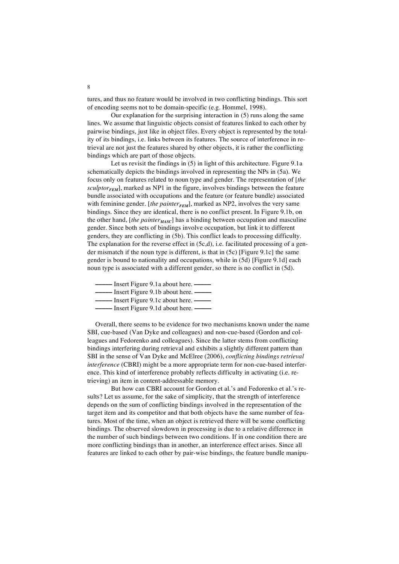tures, and thus no feature would be involved in two conflicting bindings. This sort of encoding seems not to be domain-specific (e.g. Hommel, 1998).

Our explanation for the surprising interaction in (5) runs along the same lines. We assume that linguistic objects consist of features linked to each other by pairwise bindings, just like in object files. Every object is represented by the totality of its bindings, i.e. links between its features. The source of interference in retrieval are not just the features shared by other objects, it is rather the conflicting bindings which are part of those objects.

Let us revisit the findings in (5) in light of this architecture. Figure 9.1a schematically depicts the bindings involved in representing the NPs in (5a). We focus only on features related to noun type and gender. The representation of [*the sculptorFEM*], marked as NP1 in the figure, involves bindings between the feature bundle associated with occupations and the feature (or feature bundle) associated with feminine gender. [the painter<sub>FEM</sub>], marked as NP2, involves the very same bindings. Since they are identical, there is no conflict present. In Figure 9.1b, on the other hand, [*the painterMASC*] has a binding between occupation and masculine gender. Since both sets of bindings involve occupation, but link it to different genders, they are conflicting in (5b). This conflict leads to processing difficulty. The explanation for the reverse effect in  $(5c,d)$ , i.e. facilitated processing of a gender mismatch if the noun type is different, is that in (5c) [Figure 9.1c] the same gender is bound to nationality and occupations, while in (5d) [Figure 9.1d] each noun type is associated with a different gender, so there is no conflict in (5d).

- **–––––** Insert Figure 9.1a about here. **–––––**
- **–––––** Insert Figure 9.1b about here. **–––––**
- **–––––** Insert Figure 9.1c about here. **–––––**
- **–––––** Insert Figure 9.1d about here. **–––––**

Overall, there seems to be evidence for two mechanisms known under the name SBI, cue-based (Van Dyke and colleagues) and non-cue-based (Gordon and colleagues and Fedorenko and colleagues). Since the latter stems from conflicting bindings interfering during retrieval and exhibits a slightly different pattern than SBI in the sense of Van Dyke and McElree (2006), *conflicting bindings retrieval interference* (CBRI) might be a more appropriate term for non-cue-based interference. This kind of interference probably reflects difficulty in activating (i.e. retrieving) an item in content-addressable memory.

But how can CBRI account for Gordon et al.'s and Fedorenko et al.'s results? Let us assume, for the sake of simplicity, that the strength of interference depends on the sum of conflicting bindings involved in the representation of the target item and its competitor and that both objects have the same number of features. Most of the time, when an object is retrieved there will be some conflicting bindings. The observed slowdown in processing is due to a relative difference in the number of such bindings between two conditions. If in one condition there are more conflicting bindings than in another, an interference effect arises. Since all features are linked to each other by pair-wise bindings, the feature bundle manipu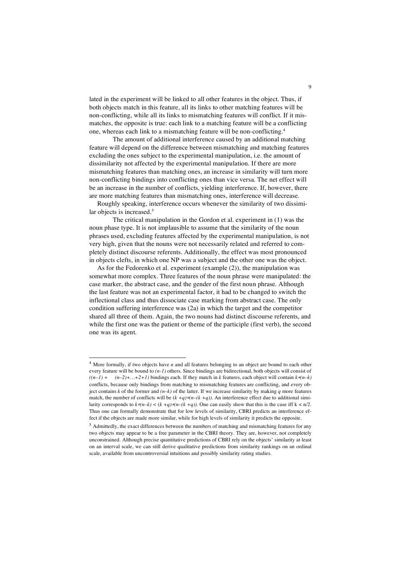lated in the experiment will be linked to all other features in the object. Thus, if both objects match in this feature, all its links to other matching features will be non-conflicting, while all its links to mismatching features will conflict. If it mismatches, the opposite is true: each link to a matching feature will be a conflicting one, whereas each link to a mismatching feature will be non-conflicting. 4

The amount of additional interference caused by an additional matching feature will depend on the difference between mismatching and matching features excluding the ones subject to the experimental manipulation, i.e. the amount of dissimilarity not affected by the experimental manipulation. If there are more mismatching features than matching ones, an increase in similarity will turn more non-conflicting bindings into conflicting ones than vice versa. The net effect will be an increase in the number of conflicts, yielding interference. If, however, there are more matching features than mismatching ones, interference will decrease.

Roughly speaking, interference occurs whenever the similarity of two dissimilar objects is increased. 5

The critical manipulation in the Gordon et al. experiment in (1) was the noun phase type. It is not implausible to assume that the similarity of the noun phrases used, excluding features affected by the experimental manipulation, is not very high, given that the nouns were not necessarily related and referred to completely distinct discourse referents. Additionally, the effect was most pronounced in objects clefts, in which one NP was a subject and the other one was the object.

As for the Fedorenko et al. experiment (example (2)), the manipulation was somewhat more complex. Three features of the noun phrase were manipulated: the case marker, the abstract case, and the gender of the first noun phrase. Although the last feature was not an experimental factor, it had to be changed to switch the inflectional class and thus dissociate case marking from abstract case. The only condition suffering interference was (2a) in which the target and the competitor shared all three of them. Again, the two nouns had distinct discourse referents, and while the first one was the patient or theme of the participle (first verb), the second one was its agent.

 <sup>4</sup> More formally, if two objects have *<sup>n</sup>* and all features belonging to an object are bound to each other every feature will be bound to *(n-1)* others. Since bindings are bidirectional, both objects will consist of *((n–1) + (n–2)+…+2+1)* bindings each. If they match in *k* features, each object will contain *k*∗*(n–k)* conflicts, because only bindings from matching to mismatching features are conflicting, and every object contains *k* of the former and  $(n-k)$  of the latter. If we increase similarity by making *q* more features match, the number of conflicts will be  $(k + q) * (n-(k+q))$ . An interference effect due to additional similarity corresponds to  $k*(n-k) < (k+q)*(n-(k+q))$ . One can easily show that this is the case iff  $k < n/2$ . Thus one can formally demonstrate that for low levels of similarity, CBRI predicts an interference effect if the objects are made more similar, while for high levels of similarity it predicts the opposite.

<sup>&</sup>lt;sup>5</sup> Admittedly, the exact differences between the numbers of matching and mismatching features for any two objects may appear to be a free parameter in the CBRI theory. They are, however, not completely unconstrained. Although precise quantitative predictions of CBRI rely on the objects' similarity at least on an interval scale, we can still derive qualitative predictions from similarity rankings on an ordinal scale, available from uncontroversial intuitions and possibly similarity rating studies.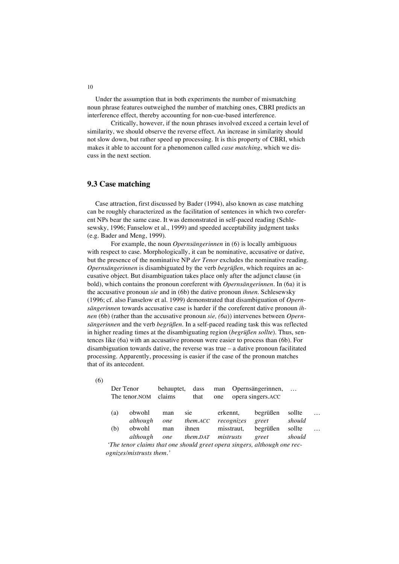Under the assumption that in both experiments the number of mismatching noun phrase features outweighed the number of matching ones, CBRI predicts an interference effect, thereby accounting for non-cue-based interference.

Critically, however, if the noun phrases involved exceed a certain level of similarity, we should observe the reverse effect. An increase in similarity should not slow down, but rather speed up processing. It is this property of CBRI, which makes it able to account for a phenomenon called *case matching*, which we discuss in the next section.

### **9.3 Case matching**

Case attraction, first discussed by Bader (1994), also known as case matching can be roughly characterized as the facilitation of sentences in which two coreferent NPs bear the same case. It was demonstrated in self-paced reading (Schlesewsky, 1996; Fanselow et al., 1999) and speeded acceptability judgment tasks (e.g. Bader and Meng, 1999).

For example, the noun *Opernsängerinnen* in (6) is locally ambiguous with respect to case. Morphologically, it can be nominative, accusative or dative, but the presence of the nominative NP *der Tenor* excludes the nominative reading. *Opernsängerinnen* is disambiguated by the verb *begrüßen*, which requires an accusative object. But disambiguation takes place only after the adjunct clause (in bold), which contains the pronoun coreferent with *Opernsängerinnen.* In (6a) it is the accusative pronoun *sie* and in (6b) the dative pronoun *ihnen*. Schlesewsky (1996; cf. also Fanselow et al. 1999) demonstrated that disambiguation of *Opernsängerinnen* towards accusative case is harder if the coreferent dative pronoun *ihnen* (6b) (rather than the accusative pronoun *sie, (6a*)) intervenes between *Opernsängerinnen* and the verb *begrüßen*. In a self-paced reading task this was reflected in higher reading times at the disambiguating region (*begrüßen sollte*). Thus, sentences like (6a) with an accusative pronoun were easier to process than (6b). For disambiguation towards dative, the reverse was true – a dative pronoun facilitated processing. Apparently, processing is easier if the case of the pronoun matches that of its antecedent.

(6)

|     | Der Tenor<br>The tenor.NOM | behauptet,<br>claims | dass<br>that                       | one |                        | man Opernsängerinnen,<br>opera singers.ACC                               | $\ldots$         |           |
|-----|----------------------------|----------------------|------------------------------------|-----|------------------------|--------------------------------------------------------------------------|------------------|-----------|
| (a) | obwohl<br>although         | man<br><i>one</i>    | sie<br>them.ACC                    |     | erkennt,<br>recognizes | begrüßen<br>greet                                                        | sollte<br>should | $\ddotsc$ |
| (b) | obwohl<br>although         | man<br>one           | ihnen<br><i>them.DAT mistrusts</i> |     | misstraut,             | begrüßen<br>greet                                                        | sollte<br>should |           |
|     | .                          |                      |                                    |     |                        | 'The tenor claims that one should greet opera singers, although one rec- |                  |           |

*ognizes/mistrusts them.'*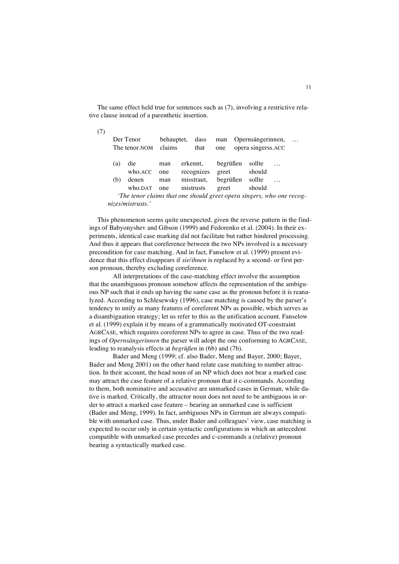The same effect held true for sentences such as (7), involving a restrictive relative clause instead of a parenthetic insertion.

|     | Der Tenor        | behauptet, | dass                    | man               | Opernsängerinnen,  | $\cdots$ |
|-----|------------------|------------|-------------------------|-------------------|--------------------|----------|
|     | The tenor.NOM    | claims     | that                    | one               | opera singerss.ACC |          |
| (a) | die<br>who.ACC   | man<br>one | erkennt,<br>recognizes  | begrüßen<br>greet | sollte<br>should   |          |
| (b) | denen<br>who.DAT | man<br>one | misstraut,<br>mistrusts | begrüßen<br>greet | sollte<br>should   |          |

*'The tenor claims that one should greet opera singers, who one recognizes/mistrusts.'*

This phenomenon seems quite unexpected, given the reverse pattern in the findings of Babyonyshev and Gibson (1999) and Fedorenko et al. (2004). In their experiments, identical case marking did not facilitate but rather hindered processing. And thus it appears that coreference between the two NPs involved is a necessary precondition for case matching. And in fact, Fanselow et al. (1999) present evidence that this effect disappears if *sie/ihnen* is replaced by a second- or first person pronoun, thereby excluding coreference.

All interpretations of the case-matching effect involve the assumption that the unambiguous pronoun somehow affects the representation of the ambiguous NP such that it ends up having the same case as the pronoun before it is reanalyzed. According to Schlesewsky (1996), case matching is caused by the parser's tendency to unify as many features of coreferent NPs as possible, which serves as a disambiguation strategy; let us refer to this as the unification account. Fanselow et al. (1999) explain it by means of a grammatically motivated OT-constraint AGRCASE, which requires coreferent NPs to agree in case. Thus of the two readings of *Opernsängerinnen* the parser will adopt the one conforming to AGRCASE, leading to reanalysis effects at *begrüßen* in (6b) and (7b).

Bader and Meng (1999; cf. also Bader, Meng and Bayer, 2000; Bayer, Bader and Meng 2001) on the other hand relate case matching to number attraction. In their account, the head noun of an NP which does not bear a marked case may attract the case feature of a relative pronoun that it c-commands. According to them, both nominative and accusative are unmarked cases in German, while dative is marked. Critically, the attractor noun does not need to be ambiguous in order to attract a marked case feature – bearing an unmarked case is sufficient (Bader and Meng, 1999). In fact, ambiguous NPs in German are always compatible with unmarked case. Thus, under Bader and colleagues' view, case matching is expected to occur only in certain syntactic configurations in which an antecedent compatible with unmarked case precedes and c-commands a (relative) pronoun bearing a syntactically marked case.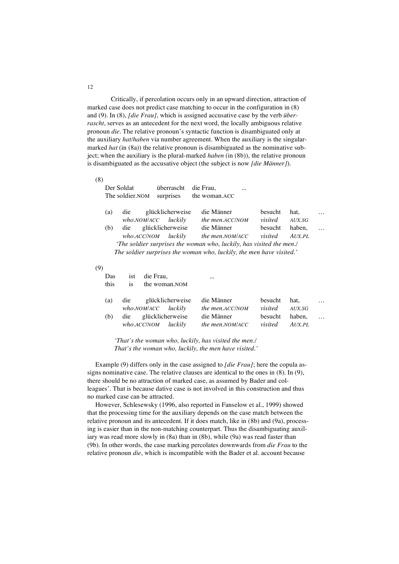Critically, if percolation occurs only in an upward direction, attraction of marked case does not predict case matching to occur in the configuration in (8) and (9). In (8), *[die Frau]*, which is assigned accusative case by the verb *überrascht*, serves as an antecedent for the next word, the locally ambiguous relative pronoun *die*. The relative pronoun's syntactic function is disambiguated only at the auxiliary *hat/haben* via number agreement. When the auxiliary is the singularmarked *hat* (in (8a)) the relative pronoun is disambiguated as the nominative subject; when the auxiliary is the plural-marked *haben* (in (8b)), the relative pronoun is disambiguated as the accusative object (the subject is now *[die Männer]*).

|     | Der Soldat<br>The soldier.NOM | überrascht<br>surprises                 | die Frau,<br>$\cdots$<br>the woman.ACC                                                                                                       |                    |                   |          |
|-----|-------------------------------|-----------------------------------------|----------------------------------------------------------------------------------------------------------------------------------------------|--------------------|-------------------|----------|
| (a) | die                           | glücklicherweise<br>who.NOM/ACC luckily | die Männer<br>the men.ACC/NOM                                                                                                                | besucht<br>visited | hat.<br>AUX.SG    | $\cdots$ |
| (b) | die<br>who.ACC/NOM            | glücklicherweise<br>luckily             | die Männer<br>the men.NOM/ACC                                                                                                                | besucht<br>visited | haben.<br>AIX.PI. |          |
|     |                               |                                         | 'The soldier surprises the woman who, luckily, has visited the men./<br>The soldier surprises the woman who, luckily, the men have visited.' |                    |                   |          |

#### (9)

(8)

|     | this is the woman. NOM |                                       |                       |                |               |
|-----|------------------------|---------------------------------------|-----------------------|----------------|---------------|
|     |                        | (a) die glücklicherweise die Männer   | besucht hat.          |                | $\cdots$      |
|     | who.NOM/ACC luckily    | the men.ACC/NOM                       | <i>visited</i> AUX.SG |                |               |
| (b) | die glücklicherweise   | die Männer                            |                       | besucht haben. | $\cdot \cdot$ |
|     | who.ACC/NOM luckily    | <i>the men.NOM/ACC</i> visited AUX.PL |                       |                |               |

*'That's the woman who, luckily, has visited the men./ That's the woman who, luckily, the men have visited.'*

Das ist die Frau, ...<br>this is the woman NOM

Example (9) differs only in the case assigned to *[die Frau]*; here the copula assigns nominative case. The relative clauses are identical to the ones in (8). In (9), there should be no attraction of marked case, as assumed by Bader and colleagues'. That is because dative case is not involved in this construction and thus no marked case can be attracted.

However, Schlesewsky (1996, also reported in Fanselow et al., 1999) showed that the processing time for the auxiliary depends on the case match between the relative pronoun and its antecedent. If it does match, like in (8b) and (9a), processing is easier than in the non-matching counterpart. Thus the disambiguating auxiliary was read more slowly in (8a) than in (8b), while (9a) was read faster than (9b). In other words, the case marking percolates downwards from *die Frau* to the relative pronoun *die*, which is incompatible with the Bader et al. account because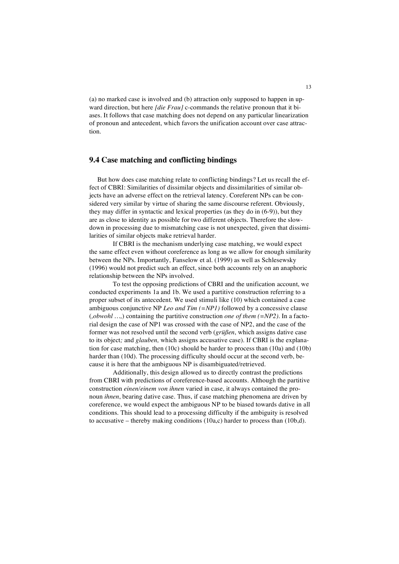(a) no marked case is involved and (b) attraction only supposed to happen in upward direction, but here *[die Frau]* c-commands the relative pronoun that it biases. It follows that case matching does not depend on any particular linearization of pronoun and antecedent, which favors the unification account over case attraction.

# **9.4 Case matching and conflicting bindings**

But how does case matching relate to conflicting bindings? Let us recall the effect of CBRI: Similarities of dissimilar objects and dissimilarities of similar objects have an adverse effect on the retrieval latency. Coreferent NPs can be considered very similar by virtue of sharing the same discourse referent. Obviously, they may differ in syntactic and lexical properties (as they do in (6-9)), but they are as close to identity as possible for two different objects. Therefore the slowdown in processing due to mismatching case is not unexpected, given that dissimilarities of similar objects make retrieval harder.

If CBRI is the mechanism underlying case matching, we would expect the same effect even without coreference as long as we allow for enough similarity between the NPs. Importantly, Fanselow et al. (1999) as well as Schlesewsky (1996) would not predict such an effect, since both accounts rely on an anaphoric relationship between the NPs involved.

To test the opposing predictions of CBRI and the unification account, we conducted experiments 1a and 1b. We used a partitive construction referring to a proper subset of its antecedent. We used stimuli like (10) which contained a case ambiguous conjunctive NP *Leo and Tim (=NP1)* followed by a concessive clause (*,obwohl …,*) containing the partitive construction *one of them (=NP2)*. In a factorial design the case of NP1 was crossed with the case of NP2, and the case of the former was not resolved until the second verb (*grüßen*, which assigns dative case to its object*;* and *glauben,* which assigns accusative case). If CBRI is the explanation for case matching, then (10c) should be harder to process than (10a) and (10b) harder than (10d). The processing difficulty should occur at the second verb, because it is here that the ambiguous NP is disambiguated/retrieved.

Additionally, this design allowed us to directly contrast the predictions from CBRI with predictions of coreference-based accounts. Although the partitive construction *einen/einem von ihnen* varied in case, it always contained the pronoun *ihnen*, bearing dative case. Thus, if case matching phenomena are driven by coreference, we would expect the ambiguous NP to be biased towards dative in all conditions. This should lead to a processing difficulty if the ambiguity is resolved to accusative – thereby making conditions (10a,c) harder to process than (10b,d).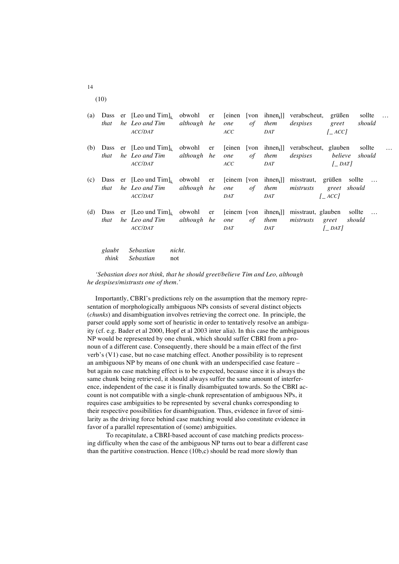| (a) | Dass<br>that    | er [Leo und Tim] $_{\rm i}$<br>he Leo and Tim<br>ACC/DAT | obwohl<br>although he | er | one<br><b>ACC</b>            | of | them<br>DAT                                                            | [einen [von ihnen]] verabscheut,<br>despises | grüßen<br>greet<br>$\int$ ACC]       | sollte<br>should |  |
|-----|-----------------|----------------------------------------------------------|-----------------------|----|------------------------------|----|------------------------------------------------------------------------|----------------------------------------------|--------------------------------------|------------------|--|
| (b) | Dass<br>that    | er [Leo und Tim],<br>he Leo and Tim<br>ACC/DAT           | obwohl<br>although he | er | [einen]<br>one<br><b>ACC</b> | of | $[von \quad linear_i]$<br>them<br>DAT                                  | verabscheut,<br>despises                     | glauben<br>believe<br>$\int$ DAT]    | sollte<br>should |  |
| (c) | Dass<br>that    | er [Leo und Tim],<br>he Leo and Tim<br>ACC/DAT           | obwohl<br>although he | er | one<br>DAT                   | of | $[$ einem $[$ von ihnen $_1]$ ]<br>them<br>DAT                         | misstraut,<br>mistrusts                      | grüßen<br>greet should<br>$\int$ ACC | sollte           |  |
| (d) | Dass<br>that    | er [Leo und Tim],<br>he Leo and Tim<br>ACC/DAT           | obwohl<br>although he | er | one<br>DAT                   | οf | $\lceil$ einem $\lceil$ von ihnen <sub>i</sub> $\rceil$<br>them<br>DAT | misstraut, glauben<br>mistrusts              | greet<br>$\int$ DAT]                 | sollte<br>should |  |
|     | glaubt<br>think | Sebastian<br>Sebastian<br>not                            | nicht.                |    |                              |    |                                                                        |                                              |                                      |                  |  |

*'Sebastian does not think, that he should greet/believe Tim and Leo, although he despises/mistrusts one of them.'*

Importantly, CBRI's predictions rely on the assumption that the memory representation of morphologically ambiguous NPs consists of several distinct objects (*chunks*) and disambiguation involves retrieving the correct one. In principle, the parser could apply some sort of heuristic in order to tentatively resolve an ambiguity (cf. e.g. Bader et al 2000, Hopf et al 2003 inter alia). In this case the ambiguous NP would be represented by one chunk, which should suffer CBRI from a pronoun of a different case. Consequently, there should be a main effect of the first verb's (V1) case, but no case matching effect. Another possibility is to represent an ambiguous NP by means of one chunk with an underspecified case feature – but again no case matching effect is to be expected, because since it is always the same chunk being retrieved, it should always suffer the same amount of interference, independent of the case it is finally disambiguated towards. So the CBRI account is not compatible with a single-chunk representation of ambiguous NPs, it requires case ambiguities to be represented by several chunks corresponding to their respective possibilities for disambiguation. Thus, evidence in favor of similarity as the driving force behind case matching would also constitute evidence in favor of a parallel representation of (some) ambiguities.

To recapitulate, a CBRI-based account of case matching predicts processing difficulty when the case of the ambiguous NP turns out to bear a different case than the partitive construction. Hence (10b,c) should be read more slowly than

14

(10)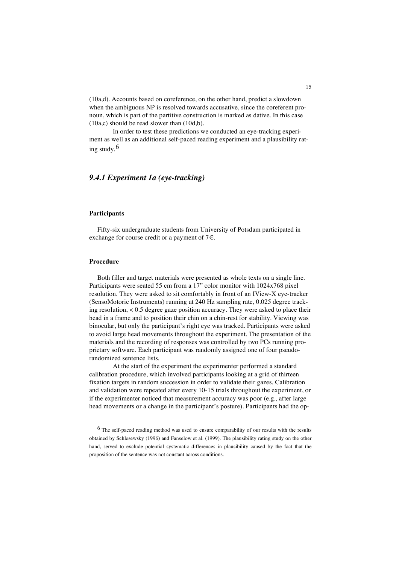(10a,d). Accounts based on coreference, on the other hand, predict a slowdown when the ambiguous NP is resolved towards accusative, since the coreferent pronoun, which is part of the partitive construction is marked as dative. In this case (10a,c) should be read slower than (10d,b).

In order to test these predictions we conducted an eye-tracking experiment as well as an additional self-paced reading experiment and a plausibility rating study. 6

# *9.4.1 Experiment 1a (eye-tracking)*

#### **Participants**

Fifty-six undergraduate students from University of Potsdam participated in exchange for course credit or a payment of  $7 \in$ .

### **Procedure**

Both filler and target materials were presented as whole texts on a single line. Participants were seated 55 cm from a 17" color monitor with 1024x768 pixel resolution. They were asked to sit comfortably in front of an IView-X eye-tracker (SensoMotoric Instruments) running at 240 Hz sampling rate, 0.025 degree tracking resolution, < 0.5 degree gaze position accuracy. They were asked to place their head in a frame and to position their chin on a chin-rest for stability. Viewing was binocular, but only the participant's right eye was tracked. Participants were asked to avoid large head movements throughout the experiment. The presentation of the materials and the recording of responses was controlled by two PCs running proprietary software. Each participant was randomly assigned one of four pseudorandomized sentence lists.

At the start of the experiment the experimenter performed a standard calibration procedure, which involved participants looking at a grid of thirteen fixation targets in random succession in order to validate their gazes. Calibration and validation were repeated after every 10-15 trials throughout the experiment, or if the experimenter noticed that measurement accuracy was poor (e.g., after large head movements or a change in the participant's posture). Participants had the op-

 <sup>6</sup> The self-paced reading method was used to ensure comparability of our results with the results obtained by Schlesewsky (1996) and Fanselow et al. (1999). The plausibility rating study on the other hand, served to exclude potential systematic differences in plausibility caused by the fact that the proposition of the sentence was not constant across conditions.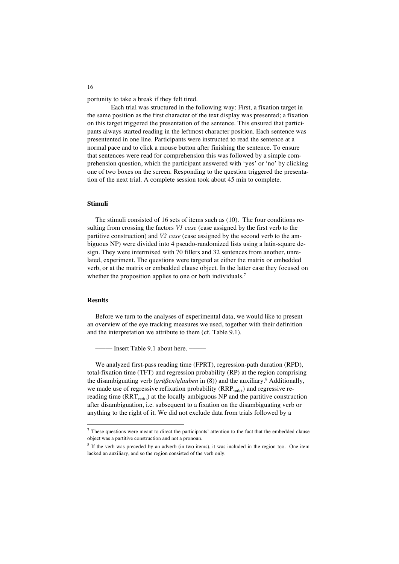portunity to take a break if they felt tired.

Each trial was structured in the following way: First, a fixation target in the same position as the first character of the text display was presented; a fixation on this target triggered the presentation of the sentence. This ensured that participants always started reading in the leftmost character position. Each sentence was presentented in one line. Participants were instructed to read the sentence at a normal pace and to click a mouse button after finishing the sentence. To ensure that sentences were read for comprehension this was followed by a simple comprehension question, which the participant answered with 'yes' or 'no' by clicking one of two boxes on the screen. Responding to the question triggered the presentation of the next trial. A complete session took about 45 min to complete.

### **Stimuli**

The stimuli consisted of 16 sets of items such as (10). The four conditions resulting from crossing the factors *V1 case* (case assigned by the first verb to the partitive construction) and *V2 case* (case assigned by the second verb to the ambiguous NP) were divided into 4 pseudo-randomized lists using a latin-square design. They were intermixed with 70 fillers and 32 sentences from another, unrelated, experiment. The questions were targeted at either the matrix or embedded verb, or at the matrix or embedded clause object. In the latter case they focused on whether the proposition applies to one or both individuals.<sup>7</sup>

#### **Results**

Before we turn to the analyses of experimental data, we would like to present an overview of the eye tracking measures we used, together with their definition and the interpretation we attribute to them (cf. Table 9.1).

**–––––** Insert Table 9.1 about here. **–––––**

We analyzed first-pass reading time (FPRT), regression-path duration (RPD), total-fixation time (TFT) and regression probability (RP) at the region comprising the disambiguating verb (*grüßen/glauben* in (8)) and the auxiliary. <sup>8</sup> Additionally, we made use of regressive refixation probability  $(RRP_{\text{verb}})$  and regressive rereading time  $(RRT_{verb})$  at the locally ambiguous NP and the partitive construction after disambiguation, i.e. subsequent to a fixation on the disambiguating verb or anything to the right of it. We did not exclude data from trials followed by a

 <sup>7</sup> These questions were meant to direct the participants' attention to the fact that the embedded clause object was a partitive construction and not a pronoun.

<sup>&</sup>lt;sup>8</sup> If the verb was preceded by an adverb (in two items), it was included in the region too. One item lacked an auxiliary, and so the region consisted of the verb only.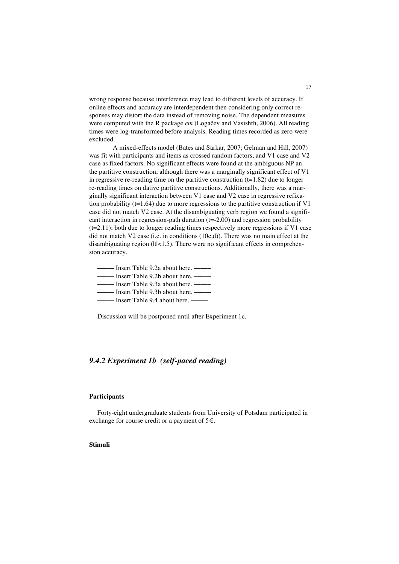wrong response because interference may lead to different levels of accuracy. If online effects and accuracy are interdependent then considering only correct responses may distort the data instead of removing noise. The dependent measures were computed with the R package *em* (Logačev and Vasishth, 2006). All reading times were log-transformed before analysis. Reading times recorded as zero were excluded.

A mixed-effects model (Bates and Sarkar, 2007; Gelman and Hill, 2007) was fit with participants and items as crossed random factors, and V1 case and V2 case as fixed factors. No significant effects were found at the ambiguous NP an the partitive construction, although there was a marginally significant effect of V1 in regressive re-reading time on the partitive construction  $(t=1.82)$  due to longer re-reading times on dative partitive constructions. Additionally, there was a marginally significant interaction between V1 case and V2 case in regressive refixation probability ( $t=1.64$ ) due to more regressions to the partitive construction if V1 case did not match V2 case. At the disambiguating verb region we found a significant interaction in regression-path duration  $(t=2.00)$  and regression probability (t=2.11); both due to longer reading times respectively more regressions if V1 case did not match V2 case (i.e. in conditions (10c,d)). There was no main effect at the disambiguating region ( $|t|$ <1.5). There were no significant effects in comprehension accuracy.

**–––––** Insert Table 9.2a about here. **––––– –––––** Insert Table 9.2b about here. **––––– –––––** Insert Table 9.3a about here. **––––– –––––** Insert Table 9.3b about here. **––––– –––––** Insert Table 9.4 about here. **–––––**

Discussion will be postponed until after Experiment 1c.

### *9.4.2 Experiment 1b (self-paced reading)*

#### **Participants**

Forty-eight undergraduate students from University of Potsdam participated in exchange for course credit or a payment of 5€.

## **Stimuli**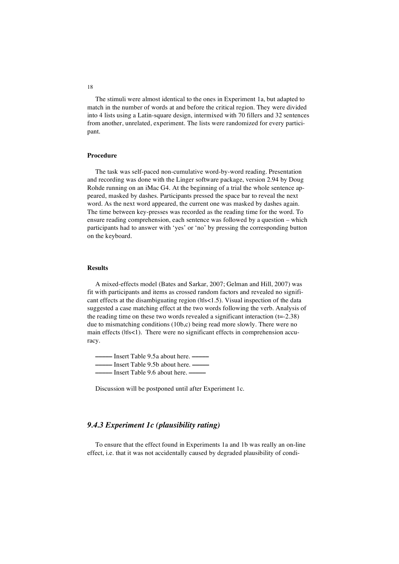The stimuli were almost identical to the ones in Experiment 1a, but adapted to match in the number of words at and before the critical region. They were divided into 4 lists using a Latin-square design, intermixed with 70 fillers and 32 sentences from another, unrelated, experiment. The lists were randomized for every participant.

#### **Procedure**

The task was self-paced non-cumulative word-by-word reading. Presentation and recording was done with the Linger software package, version 2.94 by Doug Rohde running on an iMac G4. At the beginning of a trial the whole sentence appeared, masked by dashes. Participants pressed the space bar to reveal the next word. As the next word appeared, the current one was masked by dashes again. The time between key-presses was recorded as the reading time for the word. To ensure reading comprehension, each sentence was followed by a question – which participants had to answer with 'yes' or 'no' by pressing the corresponding button on the keyboard.

### **Results**

A mixed-effects model (Bates and Sarkar, 2007; Gelman and Hill, 2007) was fit with participants and items as crossed random factors and revealed no significant effects at the disambiguating region (ltls<1.5). Visual inspection of the data suggested a case matching effect at the two words following the verb. Analysis of the reading time on these two words revealed a significant interaction (t=-2.38) due to mismatching conditions (10b,c) being read more slowly. There were no main effects (ltls<1). There were no significant effects in comprehension accuracy.

**–––––** Insert Table 9.5a about here. **––––– –––––** Insert Table 9.5b about here. **––––– –––––** Insert Table 9.6 about here. **–––––**

Discussion will be postponed until after Experiment 1c.

# *9.4.3 Experiment 1c (plausibility rating)*

To ensure that the effect found in Experiments 1a and 1b was really an on-line effect, i.e. that it was not accidentally caused by degraded plausibility of condi-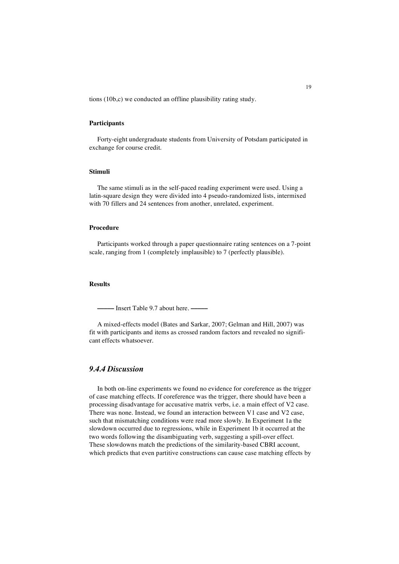tions (10b,c) we conducted an offline plausibility rating study.

#### **Participants**

Forty-eight undergraduate students from University of Potsdam participated in exchange for course credit.

### **Stimuli**

The same stimuli as in the self-paced reading experiment were used. Using a latin-square design they were divided into 4 pseudo-randomized lists, intermixed with 70 fillers and 24 sentences from another, unrelated, experiment.

### **Procedure**

Participants worked through a paper questionnaire rating sentences on a 7-point scale, ranging from 1 (completely implausible) to 7 (perfectly plausible).

### **Results**

**–––––** Insert Table 9.7 about here. **–––––**

A mixed-effects model (Bates and Sarkar, 2007; Gelman and Hill, 2007) was fit with participants and items as crossed random factors and revealed no significant effects whatsoever.

# *9.4.4 Discussion*

In both on-line experiments we found no evidence for coreference as the trigger of case matching effects. If coreference was the trigger, there should have been a processing disadvantage for accusative matrix verbs, i.e. a main effect of V2 case. There was none. Instead, we found an interaction between V1 case and V2 case, such that mismatching conditions were read more slowly. In Experiment 1a the slowdown occurred due to regressions, while in Experiment 1b it occurred at the two words following the disambiguating verb, suggesting a spill-over effect. These slowdowns match the predictions of the similarity-based CBRI account, which predicts that even partitive constructions can cause case matching effects by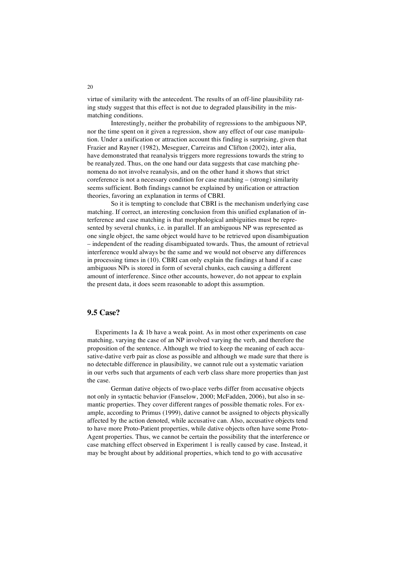virtue of similarity with the antecedent. The results of an off-line plausibility rating study suggest that this effect is not due to degraded plausibility in the mismatching conditions.

Interestingly, neither the probability of regressions to the ambiguous NP, nor the time spent on it given a regression, show any effect of our case manipulation. Under a unification or attraction account this finding is surprising, given that Frazier and Rayner (1982), Meseguer, Carreiras and Clifton (2002), inter alia, have demonstrated that reanalysis triggers more regressions towards the string to be reanalyzed. Thus, on the one hand our data suggests that case matching phenomena do not involve reanalysis, and on the other hand it shows that strict coreference is not a necessary condition for case matching – (strong) similarity seems sufficient. Both findings cannot be explained by unification or attraction theories, favoring an explanation in terms of CBRI.

So it is tempting to conclude that CBRI is the mechanism underlying case matching. If correct, an interesting conclusion from this unified explanation of interference and case matching is that morphological ambiguities must be represented by several chunks, i.e. in parallel. If an ambiguous NP was represented as one single object, the same object would have to be retrieved upon disambiguation – independent of the reading disambiguated towards. Thus, the amount of retrieval interference would always be the same and we would not observe any differences in processing times in (10). CBRI can only explain the findings at hand if a case ambiguous NPs is stored in form of several chunks, each causing a different amount of interference. Since other accounts, however, do not appear to explain the present data, it does seem reasonable to adopt this assumption.

# **9.5 Case?**

Experiments 1a & 1b have a weak point. As in most other experiments on case matching, varying the case of an NP involved varying the verb, and therefore the proposition of the sentence. Although we tried to keep the meaning of each accusative-dative verb pair as close as possible and although we made sure that there is no detectable difference in plausibility, we cannot rule out a systematic variation in our verbs such that arguments of each verb class share more properties than just the case.

German dative objects of two-place verbs differ from accusative objects not only in syntactic behavior (Fanselow, 2000; McFadden, 2006), but also in semantic properties. They cover different ranges of possible thematic roles. For example, according to Primus (1999), dative cannot be assigned to objects physically affected by the action denoted, while accusative can. Also, accusative objects tend to have more Proto-Patient properties, while dative objects often have some Proto-Agent properties. Thus, we cannot be certain the possibility that the interference or case matching effect observed in Experiment 1 is really caused by case. Instead, it may be brought about by additional properties, which tend to go with accusative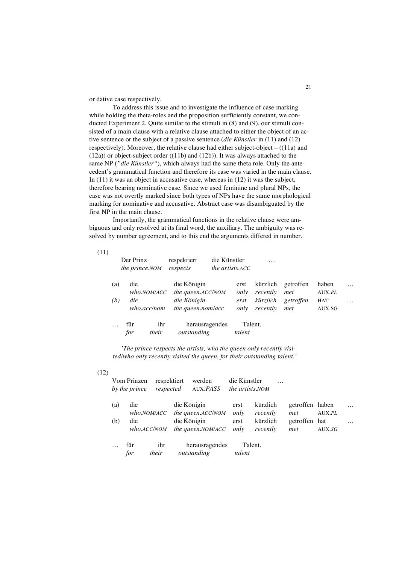or dative case respectively.

To address this issue and to investigate the influence of case marking while holding the theta-roles and the proposition sufficiently constant, we conducted Experiment 2. Quite similar to the stimuli in (8) and (9), our stimuli consisted of a main clause with a relative clause attached to either the object of an active sentence or the subject of a passive sentence (*die Künstler* in (11) and (12) respectively). Moreover, the relative clause had either subject-object  $-((11a)$  and (12a)) or object-subject order ((11b) and (12b)). It was always attached to the same NP (*"die Künstler"*), which always had the same theta role. Only the antecedent's grammatical function and therefore its case was varied in the main clause. In (11) it was an object in accusative case, whereas in (12) it was the subject, therefore bearing nominative case. Since we used feminine and plural NPs, the case was not overtly marked since both types of NPs have the same morphological marking for nominative and accusative. Abstract case was disambiguated by the first NP in the main clause.

Importantly, the grammatical functions in the relative clause were ambiguous and only resolved at its final word, the auxiliary. The ambiguity was resolved by number agreement, and to this end the arguments differed in number.

| 1) |     | Der Prinz  | the prince.NOM | respektiert<br>respects          | die Künstler   | the artists.ACC   | .                    |                  |                      |          |
|----|-----|------------|----------------|----------------------------------|----------------|-------------------|----------------------|------------------|----------------------|----------|
|    | (a) | die        | who.NOM/ACC    | die Königin<br>the queen.ACC/NOM |                | erst<br>only      | kürzlich<br>recently | getroffen<br>met | haben<br>AUX.PL      | $\cdots$ |
|    | (b) | die        | who.acc/nom    | die Königin<br>the queen.nom/acc |                | erst<br>only      | kürzlich<br>recently | getroffen<br>met | <b>HAT</b><br>AUX.SG | $\cdots$ |
|    |     | für<br>for | ihr<br>their   | outstanding                      | herausragendes | Talent.<br>talent |                      |                  |                      |          |

*'The prince respects the artists, who the queen only recently visited/who only recently visited the queen, for their outstanding talent.'*

(12)

 $(1)$ 

|     | Vom Prinzen<br>by the prince | respektiert  | werden<br>respected AUX.PASS     | die Künstler<br>the artists.NOM | $\ddotsc$            |                        |        |            |
|-----|------------------------------|--------------|----------------------------------|---------------------------------|----------------------|------------------------|--------|------------|
| (a) | die<br>who.NOM/ACC           |              | die Königin<br>the queen.ACC/NOM | erst<br>only                    | kürzlich<br>recently | getroffen haben<br>met | AUX.PL | $\dddotsc$ |
| (b) | die<br>who.ACC/NOM           |              | die Königin<br>the queen.NOM/ACC | erst<br>only                    | kürzlich<br>recently | getroffen hat<br>met   | AUX.SG | $\cdots$   |
|     | für<br>for                   | ihr<br>their | herausragendes<br>outstanding    | talent                          | Talent.              |                        |        |            |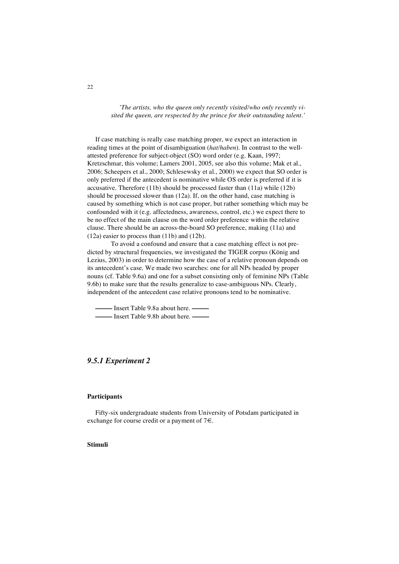*'The artists, who the queen only recently visited/who only recently visited the queen, are respected by the prince for their outstanding talent.'*

If case matching is really case matching proper, we expect an interaction in reading times at the point of disambiguation (*hat/haben*). In contrast to the wellattested preference for subject-object (SO) word order (e.g. Kaan, 1997; Kretzschmar, this volume; Lamers 2001, 2005, see also this volume; Mak et al., 2006; Scheepers et al., 2000; Schlesewsky et al., 2000) we expect that SO order is only preferred if the antecedent is nominative while OS order is preferred if it is accusative. Therefore (11b) should be processed faster than (11a) while (12b) should be processed slower than (12a). If, on the other hand, case matching is caused by something which is not case proper, but rather something which may be confounded with it (e.g. affectedness, awareness, control, etc.) we expect there to be no effect of the main clause on the word order preference within the relative clause. There should be an across-the-board SO preference, making (11a) and (12a) easier to process than (11b) and (12b).

To avoid a confound and ensure that a case matching effect is not predicted by structural frequencies, we investigated the TIGER corpus (König and Lezius, 2003) in order to determine how the case of a relative pronoun depends on its antecedent's case. We made two searches: one for all NPs headed by proper nouns (cf. Table 9.6a) and one for a subset consisting only of feminine NPs (Table 9.6b) to make sure that the results generalize to case-ambiguous NPs. Clearly, independent of the antecedent case relative pronouns tend to be nominative.

**–––––** Insert Table 9.8a about here. **––––– –––––** Insert Table 9.8b about here. **–––––**

### *9.5.1 Experiment 2*

#### **Participants**

Fifty-six undergraduate students from University of Potsdam participated in exchange for course credit or a payment of 7€.

### **Stimuli**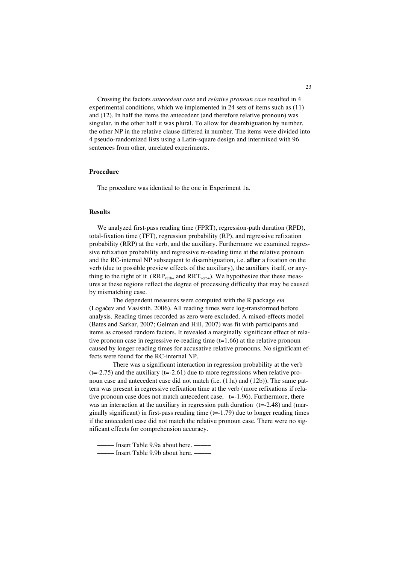Crossing the factors *antecedent case* and *relative pronoun case* resulted in 4 experimental conditions, which we implemented in 24 sets of items such as (11) and (12). In half the items the antecedent (and therefore relative pronoun) was singular, in the other half it was plural. To allow for disambiguation by number, the other NP in the relative clause differed in number. The items were divided into 4 pseudo-randomized lists using a Latin-square design and intermixed with 96 sentences from other, unrelated experiments.

### **Procedure**

The procedure was identical to the one in Experiment 1a.

#### **Results**

We analyzed first-pass reading time (FPRT), regression-path duration (RPD), total-fixation time (TFT), regression probability (RP), and regressive refixation probability (RRP) at the verb, and the auxiliary. Furthermore we examined regressive refixation probability and regressive re-reading time at the relative pronoun and the RC-internal NP subsequent to disambiguation, i.e. **after** a fixation on the verb (due to possible preview effects of the auxiliary), the auxiliary itself, or anything to the right of it  $(RRP_{\text{verb+}}$  and  $RRT_{\text{verb+}})$ . We hypothesize that these measures at these regions reflect the degree of processing difficulty that may be caused by mismatching case.

The dependent measures were computed with the R package *em* (Logačev and Vasishth, 2006). All reading times were log-transformed before analysis. Reading times recorded as zero were excluded. A mixed-effects model (Bates and Sarkar, 2007; Gelman and Hill, 2007) was fit with participants and items as crossed random factors. It revealed a marginally significant effect of relative pronoun case in regressive re-reading time  $(t=1.66)$  at the relative pronoun caused by longer reading times for accusative relative pronouns. No significant effects were found for the RC-internal NP.

There was a significant interaction in regression probability at the verb  $(t=-2.75)$  and the auxiliary  $(t=-2.61)$  due to more regressions when relative pronoun case and antecedent case did not match (i.e. (11a) and (12b)). The same pattern was present in regressive refixation time at the verb (more refixations if relative pronoun case does not match antecedent case,  $t = -1.96$ ). Furthermore, there was an interaction at the auxiliary in regression path duration  $(t=2.48)$  and (marginally significant) in first-pass reading time  $(t=1.79)$  due to longer reading times if the antecedent case did not match the relative pronoun case. There were no significant effects for comprehension accuracy.

**–––––** Insert Table 9.9a about here. **––––– –––––** Insert Table 9.9b about here. **–––––**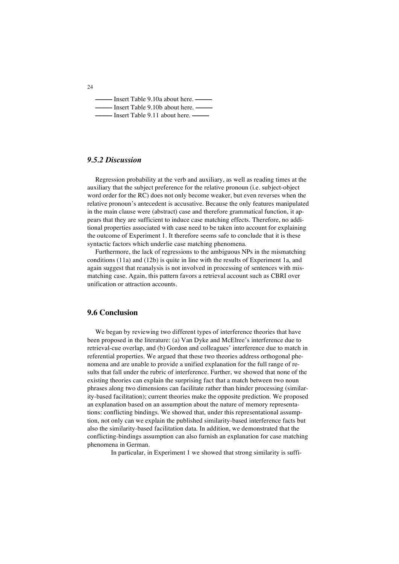**–––––** Insert Table 9.10a about here. **––––– –––––** Insert Table 9.10b about here. **––––– –––––** Insert Table 9.11 about here. **–––––**

## *9.5.2 Discussion*

Regression probability at the verb and auxiliary, as well as reading times at the auxiliary that the subject preference for the relative pronoun (i.e. subject-object word order for the RC) does not only become weaker, but even reverses when the relative pronoun's antecedent is accusative. Because the only features manipulated in the main clause were (abstract) case and therefore grammatical function, it appears that they are sufficient to induce case matching effects. Therefore, no additional properties associated with case need to be taken into account for explaining the outcome of Experiment 1. It therefore seems safe to conclude that it is these syntactic factors which underlie case matching phenomena.

Furthermore, the lack of regressions to the ambiguous NPs in the mismatching conditions (11a) and (12b) is quite in line with the results of Experiment 1a, and again suggest that reanalysis is not involved in processing of sentences with mismatching case. Again, this pattern favors a retrieval account such as CBRI over unification or attraction accounts.

# **9.6 Conclusion**

We began by reviewing two different types of interference theories that have been proposed in the literature: (a) Van Dyke and McElree's interference due to retrieval-cue overlap, and (b) Gordon and colleagues' interference due to match in referential properties. We argued that these two theories address orthogonal phenomena and are unable to provide a unified explanation for the full range of results that fall under the rubric of interference. Further, we showed that none of the existing theories can explain the surprising fact that a match between two noun phrases along two dimensions can facilitate rather than hinder processing (similarity-based facilitation); current theories make the opposite prediction. We proposed an explanation based on an assumption about the nature of memory representations: conflicting bindings. We showed that, under this representational assumption, not only can we explain the published similarity-based interference facts but also the similarity-based facilitation data. In addition, we demonstrated that the conflicting-bindings assumption can also furnish an explanation for case matching phenomena in German.

In particular, in Experiment 1 we showed that strong similarity is suffi-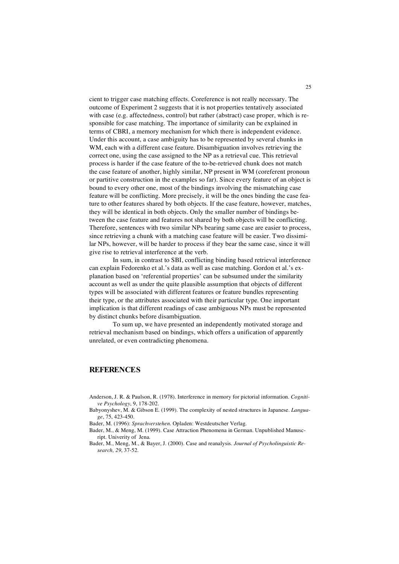cient to trigger case matching effects. Coreference is not really necessary. The outcome of Experiment 2 suggests that it is not properties tentatively associated with case (e.g. affectedness, control) but rather (abstract) case proper, which is responsible for case matching. The importance of similarity can be explained in terms of CBRI, a memory mechanism for which there is independent evidence. Under this account, a case ambiguity has to be represented by several chunks in WM, each with a different case feature. Disambiguation involves retrieving the correct one, using the case assigned to the NP as a retrieval cue. This retrieval process is harder if the case feature of the to-be-retrieved chunk does not match the case feature of another, highly similar, NP present in WM (coreferent pronoun or partitive construction in the examples so far). Since every feature of an object is bound to every other one, most of the bindings involving the mismatching case feature will be conflicting. More precisely, it will be the ones binding the case feature to other features shared by both objects. If the case feature, however, matches, they will be identical in both objects. Only the smaller number of bindings between the case feature and features not shared by both objects will be conflicting. Therefore, sentences with two similar NPs bearing same case are easier to process, since retrieving a chunk with a matching case feature will be easier. Two dissimilar NPs, however, will be harder to process if they bear the same case, since it will give rise to retrieval interference at the verb.

In sum, in contrast to SBI, conflicting binding based retrieval interference can explain Fedorenko et al.'s data as well as case matching. Gordon et al.'s explanation based on 'referential properties' can be subsumed under the similarity account as well as under the quite plausible assumption that objects of different types will be associated with different features or feature bundles representing their type, or the attributes associated with their particular type. One important implication is that different readings of case ambiguous NPs must be represented by distinct chunks before disambiguation.

To sum up, we have presented an independently motivated storage and retrieval mechanism based on bindings, which offers a unification of apparently unrelated, or even contradicting phenomena.

### **REFERENCES**

- Anderson, J. R. & Paulson, R. (1978). Interference in memory for pictorial information. *Cognitive Psychology*, 9, 178-202.
- Babyonyshev, M. & Gibson E. (1999). The complexity of nested structures in Japanese. *Language*, 75, 423-450.
- Bader, M. (1996): *Sprachverstehen*. Opladen: Westdeutscher Verlag.
- Bader, M., & Meng, M. (1999). Case Attraction Phenomena in German. Unpublished Manuscript. Univerity of Jena.
- Bader, M., Meng, M., & Bayer, J. (2000). Case and reanalysis. *Journal of Psycholinguistic Research, 29*, 37-52.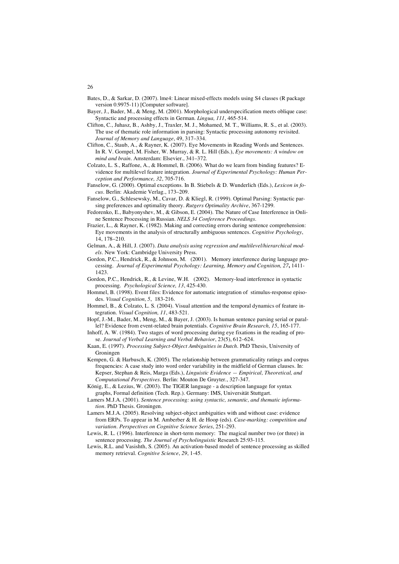- Bates, D., & Sarkar, D. (2007). lme4: Linear mixed-effects models using S4 classes (R package version 0.9975-11) [Computer software].
- Bayer, J., Bader, M., & Meng, M. (2001). Morphological underspecification meets oblique case: Syntactic and processing effects in German. *Lingua, 111*, 465-514.
- Clifton, C., Juhasz, B., Ashby, J., Traxler, M. J., Mohamed, M. T., Williams, R. S., et al. (2003). The use of thematic role information in parsing: Syntactic processing autonomy revisited. *Journal of Memory and Language*, 49, 317–334.
- Clifton, C., Staub, A., & Rayner, K. (2007). Eye Movements in Reading Words and Sentences. In R. V. Gompel, M. Fisher, W. Murray, & R. L. Hill (Eds.), *Eye movements: A window on mind and brain*. Amsterdam: Elsevier., 341–372.
- Colzato, L. S., Raffone, A., & Hommel, B. (2006). What do we learn from binding features? Evidence for multilevel feature integration. *Journal of Experimental Psychology: Human Perception and Performance, 32*, 705-716.
- Fanselow, G. (2000). Optimal exceptions. In B. Stiebels & D. Wunderlich (Eds.), *Lexicon in focus*. Berlin: Akademie Verlag., 173–209.
- Fanselow, G., Schlesewsky, M., Cavar, D. & Kliegl, R. (1999). Optimal Parsing: Syntactic parsing preferences and optimality theory. *Rutgers Optimality Archive*, 367-1299.
- Fedorenko, E., Babyonyshev, M., & Gibson, E. (2004). The Nature of Case Interference in Online Sentence Processing in Russian. *NELS 34 Conference Proceedings.*
- Frazier, L., & Rayner, K. (1982). Making and correcting errors during sentence comprehension: Eye movements in the analysis of structurally ambiguous sentences. *Cognitive Psychology*, 14, 178–210.
- Gelman, A., & Hill, J. (2007). *Data analysis using regression and multilevel/hierarchical models*. New York: Cambridge University Press.
- Gordon, P.C., Hendrick, R., & Johnson, M. (2001). Memory interference during language processing. *Journal of Experimental Psychology: Learning, Memory and Cognition, 27***,** 1411- 1423.
- Gordon, P.C., Hendrick, R., & Levine, W.H. (2002). Memory-load interference in syntactic processing. *Psychological Science, 13*, 425-430.
- Hommel, B. (1998). Event files: Evidence for automatic integration of stimulus-response episodes. *Visual Cognition, 5*, 183-216.
- Hommel, B., & Colzato, L. S. (2004). Visual attention and the temporal dynamics of feature integration. *Visual Cognition, 11*, 483-521.
- Hopf, J.-M., Bader, M., Meng, M., & Bayer, J. (2003). Is human sentence parsing serial or parallel? Evidence from event-related brain potentials. *Cognitive Brain Research, 15*, 165-177.
- Inhoff, A. W. (1984). Two stages of word processing during eye fixations in the reading of prose. *Journal of Verbal Learning and Verbal Behavior*, 23(5), 612–624.
- Kaan, E. (1997). *Processing Subject-Object Ambiguities in Dutch*. PhD Thesis, University of Groningen
- Kempen, G. & Harbusch, K. (2005). The relationship between grammaticality ratings and corpus frequencies: A case study into word order variability in the midfield of German clauses. In: Kepser, Stephan & Reis, Marga (Eds.), *Linguistic Evidence — Empirical, Theoretical, and Computational Perspectives*. Berlin: Mouton De Gruyter., 327-347.
- König, E., & Lezius, W. (2003). The TIGER language a description language for syntax graphs, Formal definition (Tech. Rep.). Germany: IMS, Universität Stuttgart.
- Lamers M.J.A. (2001). *Sentence processing: using syntactic, semantic, and thematic information.* PhD Thesis. Groningen.
- Lamers M.J.A. (2005). Resolving subject-object ambiguities with and without case: evidence from ERPs. To appear in M. Amberber & H. de Hoop (eds). *Case-marking: competition and variation. Perspectives on Cognitive Science Series*, 251-293*.*
- Lewis, R. L. (1996). Interference in short-term memory: The magical number two (or three) in sentence processing. *The Journal of Psycholinguistic* Research 25:93-115.
- Lewis, R.L. and Vasishth, S. (2005). An activation-based model of sentence processing as skilled memory retrieval. *Cognitive Science*, *29*, 1-45.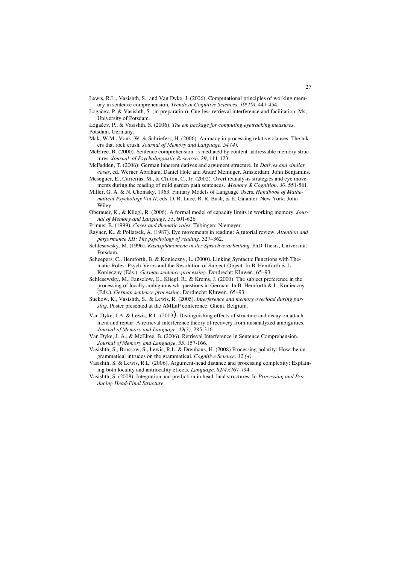- Lewis, R.L., Vasishth, S., and Van Dyke, J. (2006). Computational principles of working memory in sentence comprehension. *Trends in Cognitive Sciences, 10(10)*, 447-454.
- Logačev, P. & Vasishth, S. (in preparation). Cue-less retrieval interference and facilitation. Ms, University of Potsdam.
- Logačev, P., & Vasishth, S. (2006). *The em package for computing eyetracking measures.* Potsdam, Germany.
- Mak, W.M., Vonk, W. & Schriefers, H. (2006). Animacy in processing relative clauses: The hikers that rock crush. *Journal of Memory and Language, 54 (4).*
- McElree, B. (2000). Sentence comprehension is mediated by content-addressable memory structures. *Journal of Psycholinguistic Research*, *29*, 111-123.
- McFadden, T. (2006): German inherent datives and argument structure. In *Datives and similar cases*, ed. Werner Abraham, Daniel Hole and André Meinuger. Amsterdam: John Benjamins.
- Meseguer, E., Carreiras, M., & Clifton, C., Jr. (2002). Overt reanalysis strategies and eye movements during the reading of mild garden path sentences. *Memory & Cognition, 30*, 551-561.
- Miller, G. A. & N. Chomsky. 1963. Finitary Models of Language Users*. Handbook of Mathematical Psychology Vol.II*, eds. D. R. Luce, R. R. Bush, & E. Galanter. New York: John Wiley.
- Oberauer, K., & Kliegl, R. (2006). A formal model of capacity limits in working memory. *Journal of Memory and Language, 55*, 601-626
- Primus, B. (1999). *Cases and thematic roles*. Tübingen: Niemeyer.
- Rayner, K., & Pollatsek, A. (1987). Eye movements in reading: A tutorial review. *Attention and performance XII: The psychology of reading*, 327–362.
- Schlesewsky, M. (1996). *Kasusphänomene in der Sprachverarbeitung*. PhD Thesis, Universität Potsdam.
- Scheepers, C., Hemforth, B. & Konieczny, L. (2000). Linking Syntactic Functions with Thematic Roles: Psych-Verbs and the Resolution of Subject-Object. In B. Hemforth & L. Konieczny (Eds.), *German sentence processing*. Dordrecht: Kluwer., 65–93
- Schlesewsky, M., Fanselow, G., Kliegl, R., & Krems, J. (2000). The subject preference in the processing of locally ambiguous wh-questions in German. In B. Hemforth & L. Konieczny (Eds.), *German sentence processing*. Dordrecht: Kluwer., 65–93
- Suckow, K., Vasishth, S., & Lewis, R. (2005). *Interference and memory overload during parsing*. Poster presented at the AMLaP conference, Ghent, Belgium.
- Van Dyke, J.A. & Lewis, R.L. (2003). Distinguishing effects of structure and decay on attachment and repair: A retrieval interference theory of recovery from misanalyzed ambiguities. *Journal of Memory and Language, 49(3),* 285-316.
- Van Dyke, J. A., & McElree, B. (2006). Retrieval Interference in Sentence Comprehension. *Journal of Memory and Language, 55*, 157-166.
- Vasishth, S., Brüssow, S., Lewis, R.L. & Drenhaus, H. (2008) Processing polarity: How the ungrammatical intrudes on the grammatical. *Cognitive Science, 32 (4)*.
- Vasishth, S. & Lewis, R.L. (2006). Argument-head distance and processing complexity: Explaining both locality and antilocality effects. *Language, 82(4)*:767-794.
- Vasishth, S. (2008). Integration and prediction in head-final structures. In *Processing and Producing Head-Final Structure*.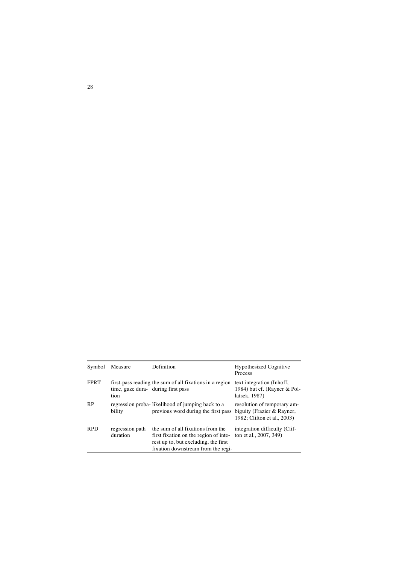| Symbol      | Measure                                    | Definition                                                                                                                                               | <b>Hypothesized Cognitive</b><br>Process                                   |
|-------------|--------------------------------------------|----------------------------------------------------------------------------------------------------------------------------------------------------------|----------------------------------------------------------------------------|
| <b>FPRT</b> | time, gaze dura- during first pass<br>tion | first-pass reading the sum of all fixations in a region                                                                                                  | text integration (Inhoff,<br>1984) but cf. (Rayner & Pol-<br>latsek, 1987) |
| <b>RP</b>   | bility                                     | regression proba-likelihood of jumping back to a<br>previous word during the first pass biguity (Frazier & Rayner,                                       | resolution of temporary am-<br>1982; Clifton et al., 2003)                 |
| <b>RPD</b>  | regression path<br>duration                | the sum of all fixations from the<br>first fixation on the region of inte-<br>rest up to, but excluding, the first<br>fixation downstream from the regi- | integration difficulty (Clif-<br>ton et al., 2007, 349)                    |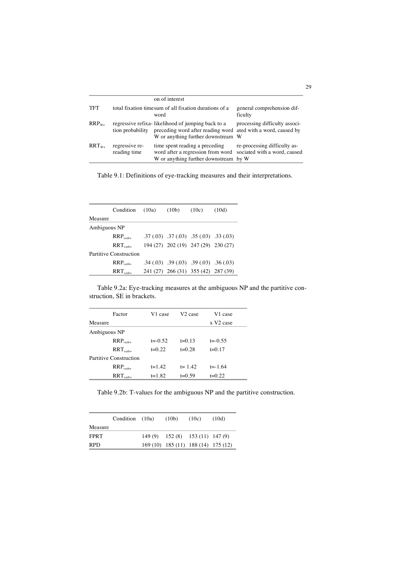|               |                                | on of interest                                                                                                                                           |                                       |
|---------------|--------------------------------|----------------------------------------------------------------------------------------------------------------------------------------------------------|---------------------------------------|
| TFT           |                                | total fixation timesum of all fixation durations of a<br>word                                                                                            | general comprehension dif-<br>ficulty |
| $RRP_{w_{+}}$ | tion probability               | regressive refixa-likelihood of jumping back to a<br>preceding word after reading word ated with a word, caused by<br>W or anything further downstream W | processing difficulty associ-         |
| $RRT_{w_{+}}$ | regressive re-<br>reading time | time spent reading a preceding<br>word after a regression from word sociated with a word, caused<br>W or anything further downstream by W                | re-processing difficulty as-          |

Table 9.1: Definitions of eye-tracking measures and their interpretations.

|              | Condition              | (10a) | (10b)                                           | (10c) | (10d) |
|--------------|------------------------|-------|-------------------------------------------------|-------|-------|
| Measure      |                        |       |                                                 |       |       |
| Ambiguous NP |                        |       |                                                 |       |       |
|              | $RRP_{verb+}$          |       | $.37(0.03)$ $.37(0.03)$ $.35(0.03)$ $.33(0.03)$ |       |       |
|              | $RRT_{verb+}$          |       | 194 (27) 202 (19) 247 (29) 230 (27)             |       |       |
|              | Partitive Construction |       |                                                 |       |       |
|              | $RRP_{verb+}$          |       | $.34(03)$ $.39(03)$ $.39(03)$ $.36(03)$         |       |       |
|              | $RRT_{verbt}$          |       | 241 (27) 266 (31) 355 (42) 287 (39)             |       |       |

Table 9.2a: Eye-tracking measures at the ambiguous NP and the partitive construction, SE in brackets.

|              | Factor                 | V1 case     | V <sub>2</sub> case | V1 case               |
|--------------|------------------------|-------------|---------------------|-----------------------|
| Measure      |                        |             |                     | x V <sub>2</sub> case |
| Ambiguous NP |                        |             |                     |                       |
|              | $RRP_{verb+}$          | $t = -0.52$ | $t=0.13$            | $t = -0.55$           |
|              | $RRT_{verbt}$          | $t=0.22$    | $t=0.28$            | $t=0.17$              |
|              | Partitive Construction |             |                     |                       |
|              | $RRP_{verb+}$          | $t = 1.42$  | $t = 1.42$          | $t = -1.64$           |
|              | $RRT_{verb+}$          | $t = 1.82$  | $t=0.59$            | $t=0.22$              |

Table 9.2b: T-values for the ambiguous NP and the partitive construction.

|             | Condition (10a) | (10b)                                   | (10c) | (10d) |
|-------------|-----------------|-----------------------------------------|-------|-------|
| Measure     |                 |                                         |       |       |
| <b>FPRT</b> |                 | $149(9)$ $152(8)$ $153(11)$ $147(9)$    |       |       |
| <b>RPD</b>  |                 | $169(10)$ $185(11)$ $188(14)$ $175(12)$ |       |       |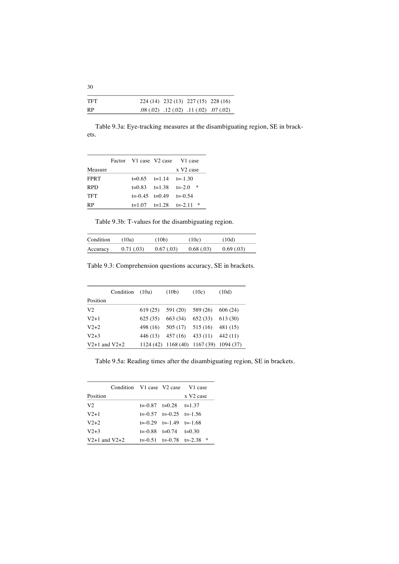| <b>TFT</b> |  | 224 (14) 232 (13) 227 (15) 228 (16)             |  |
|------------|--|-------------------------------------------------|--|
| -RP        |  | $.08(0.02)$ $.12(0.02)$ $.11(0.02)$ $.07(0.02)$ |  |

Table 9.3a: Eye-tracking measures at the disambiguating region, SE in brackets.

|             |  |                                    | Factor V1 case V2 case V1 case |
|-------------|--|------------------------------------|--------------------------------|
| Measure     |  |                                    | x V <sub>2</sub> case          |
| <b>FPRT</b> |  | $t=0.65$ $t=1.14$ $t=-1.30$        |                                |
| RPD         |  | $t=0.83$ $t=1.38$ $t=-2.0$         | *                              |
| TFT         |  | $t = -0.45$ $t = 0.49$ $t = -0.54$ |                                |
| RP          |  | $t=1.07$ $t=1.28$ $t=-2.11$        | ∗                              |

Table 9.3b: T-values for the disambiguating region.

| Condition | (10a)      | (10 <sub>b</sub> ) | (10c)      | (10d)      |
|-----------|------------|--------------------|------------|------------|
| Accuracy  | 0.71(0.03) | 0.67(0.03)         | 0.68(0.03) | 0.69(0.03) |

Table 9.3: Comprehension questions accuracy, SE in brackets.

|                   | Condition (10a) |          | (10b)                                   | (10c) | (10d)    |
|-------------------|-----------------|----------|-----------------------------------------|-------|----------|
| Position          |                 |          |                                         |       |          |
| V <sub>2</sub>    |                 |          | $619(25)$ $591(20)$ $589(26)$           |       | 606(24)  |
| $V_{2+1}$         |                 | 625 (35) | $663(34)$ $652(33)$                     |       | 613 (30) |
| $V_{2+2}$         |                 |          | $498(16)$ $505(17)$ $515(16)$           |       | 481 (15) |
| $V2 + 3$          |                 |          | $446(13)$ $457(16)$ $433(11)$           |       | 442 (11) |
| $V2+1$ and $V2+2$ |                 |          | 1124 (42) 1168 (40) 1167 (39) 1094 (37) |       |          |

Table 9.5a: Reading times after the disambiguating region, SE in brackets.

|                     | Condition V1 case V2 case V1 case |                                     |                     |
|---------------------|-----------------------------------|-------------------------------------|---------------------|
| Position            |                                   |                                     | $x \text{ V2 case}$ |
| V <sub>2</sub>      |                                   | $t = -0.87$ $t = 0.28$ $t = 1.37$   |                     |
| $V2+1$              |                                   | t=-0.57 t=-0.25 t=-1.56             |                     |
| $V2+2$              |                                   | $t = -0.29$ $t = -1.49$ $t = -1.68$ |                     |
| $V2 + 3$            |                                   | $t = -0.88$ $t = 0.74$ $t = 0.30$   |                     |
| $V2+1$ and $V2+2$ . |                                   | $t = -0.51$ $t = -0.78$ $t = -2.38$ | 水                   |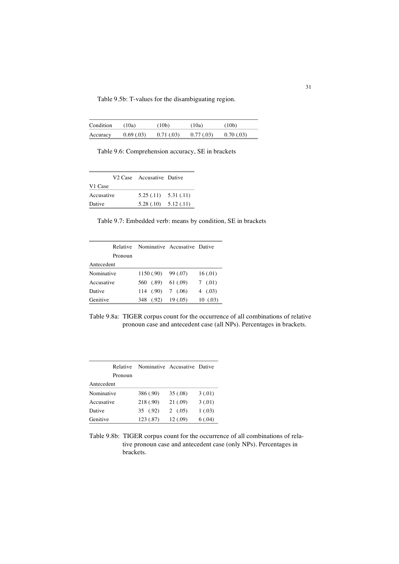Table 9.5b: T-values for the disambiguating region.

| Condition | (10a)      | (10b)      | (10a)      | (10 <sub>b</sub> ) |
|-----------|------------|------------|------------|--------------------|
| Accuracy  | 0.69(0.03) | 0.71(0.03) | 0.77(0.03) | 0.70(0.03)         |

Table 9.6: Comprehension accuracy, SE in brackets

| $5.25(.11)$ $5.31(.11)$ |                                       |
|-------------------------|---------------------------------------|
| $5.28(.10)$ $5.12(.11)$ |                                       |
| Accusative              | V <sub>2</sub> Case Accusative Dative |

Table 9.7: Embedded verb: means by condition, SE in brackets

| Relative   | Nominative Accusative Dative |          |          |
|------------|------------------------------|----------|----------|
| Pronoun    |                              |          |          |
| Antecedent |                              |          |          |
| Nominative | 1150 (.90)                   | 99 (.07) | 16(0.01) |
| Accusative | 560 (.89)                    | 61(.09)  | 7(01)    |
| Dative     | 114 (.90)                    | 7 (.06)  | 4(0.03)  |
| Genitive   | 348 (.92)                    | 19(0.05) | 10(0.03) |

Table 9.8a: TIGER corpus count for the occurrence of all combinations of relative pronoun case and antecedent case (all NPs). Percentages in brackets.

|            | Relative |           | Nominative Accusative Dative |         |
|------------|----------|-----------|------------------------------|---------|
|            | Pronoun  |           |                              |         |
| Antecedent |          |           |                              |         |
| Nominative |          | 386 (.90) | 35(.08)                      | 3(0.01) |
| Accusative |          | 218 (.90) | 21(.09)                      | 3(0.01) |
| Dative     |          | 35 (.92)  | 2(0.05)                      | 1(.03)  |
| Genitive   |          | 123 (.87) | 12 (.09)                     | 6(.04)  |

Table 9.8b: TIGER corpus count for the occurrence of all combinations of relative pronoun case and antecedent case (only NPs). Percentages in brackets.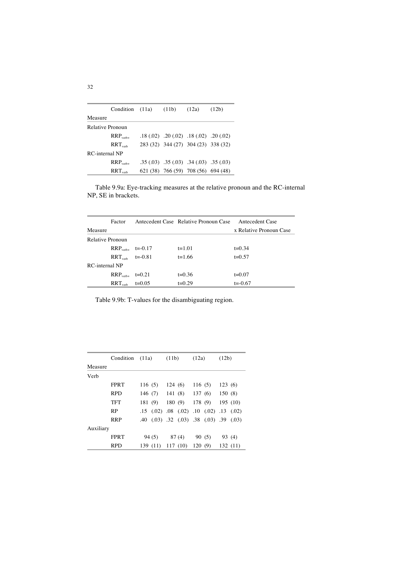|                  | Condition $(11a)$ $(11b)$          |                                             | (12a) | (12b) |
|------------------|------------------------------------|---------------------------------------------|-------|-------|
| Measure          |                                    |                                             |       |       |
| Relative Pronoun |                                    |                                             |       |       |
|                  | $RRP_{verbt}$                      | $.18(.02)$ $.20(.02)$ $.18(.02)$ $.20(.02)$ |       |       |
|                  | $\operatorname{RRT}_{\text{verb}}$ | 283 (32) 344 (27) 304 (23) 338 (32)         |       |       |
| RC-internal NP   |                                    |                                             |       |       |
|                  | $RRP_{verb+}$                      | $.35(.03)$ $.35(.03)$ $.34(.03)$ $.35(.03)$ |       |       |
|                  | $RRT_{verb}$                       | 621 (38) 766 (59) 708 (56) 694 (48)         |       |       |
|                  |                                    |                                             |       |       |

Table 9.9a: Eye-tracking measures at the relative pronoun and the RC-internal NP, SE in brackets.

|                  | Factor                       |          | Antecedent Case Relative Pronoun Case | Antecedent Case         |
|------------------|------------------------------|----------|---------------------------------------|-------------------------|
| Measure          |                              |          |                                       | x Relative Pronoun Case |
| Relative Pronoun |                              |          |                                       |                         |
|                  | $RRP_{\text{verb+}}$ t=-0.17 |          | $t=1.01$                              | $t=0.34$                |
|                  | $RRT_{\text{verb}}$ t=-0.81  |          | $t = 1.66$                            | $t=0.57$                |
| RC-internal NP   |                              |          |                                       |                         |
|                  | $RRP_{\text{verb+}}$ t=0.21  |          | $t=0.36$                              | $t=0.07$                |
|                  | $RRT_{verb}$                 | $t=0.05$ | $t=0.29$                              | $t = -0.67$             |

Table 9.9b: T-values for the disambiguating region.

|           | Condition   | (11a)      | (11b)                               | (12a)     | (12b)        |
|-----------|-------------|------------|-------------------------------------|-----------|--------------|
| Measure   |             |            |                                     |           |              |
| Verb      |             |            |                                     |           |              |
|           | <b>FPRT</b> | 116(5)     | 124(6)                              | 116(5)    | 123(6)       |
|           | <b>RPD</b>  | 146 (7)    | 141(8)                              | 137(6)    | 150(8)       |
|           | <b>TFT</b>  | 181<br>(9) | 180(9)                              | 178 (9)   | 195(10)      |
|           | <b>RP</b>   |            | $.15$ $(.02)$ $.08$ $(.02)$         | .10(0.02) | .13<br>(.02) |
|           | <b>RRP</b>  | .40        | $(.03)$ $.32$ $(.03)$ $.38$ $(.03)$ |           | .39<br>(.03) |
| Auxiliary |             |            |                                     |           |              |
|           | <b>FPRT</b> | 94 (5)     | 87(4)                               | 90(5)     | 93 (4)       |
|           | <b>RPD</b>  | 139 (11)   | 117(10)                             | 120(9)    | 132 (11)     |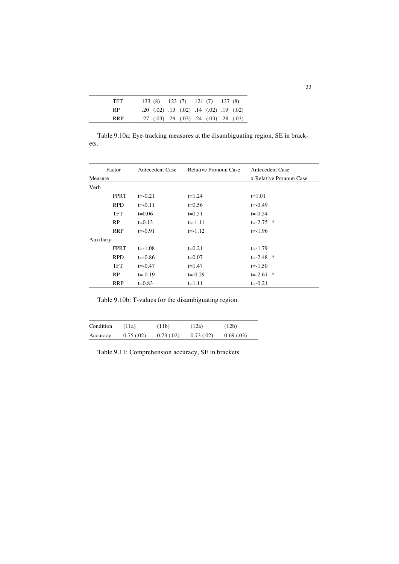| TFT        |  | $133(8)$ $123(7)$ $121(7)$                              |  | 137 (8) |  |
|------------|--|---------------------------------------------------------|--|---------|--|
| RP.        |  | $.20$ $(.02)$ $.13$ $(.02)$ $.14$ $(.02)$ $.19$ $(.02)$ |  |         |  |
| <b>RRP</b> |  | $.27$ (.03) $.29$ (.03) $.24$ (.03) $.28$ (.03)         |  |         |  |

Table 9.10a: Eye-tracking measures at the disambiguating region, SE in brackets.

| Factor<br>Measure |             | Antecedent Case | Relative Pronoun Case | Antecedent Case         |  |
|-------------------|-------------|-----------------|-----------------------|-------------------------|--|
|                   |             |                 |                       | x Relative Pronoun Case |  |
| Verb              |             |                 |                       |                         |  |
|                   | <b>FPRT</b> | $t = -0.21$     | $t = 1.24$            | $t=1.01$                |  |
|                   | <b>RPD</b>  | $t = -0.11$     | $t=0.56$              | $t = -0.49$             |  |
|                   | <b>TFT</b>  | $t=0.06$        | $t=0.51$              | $t = -0.54$             |  |
|                   | <b>RP</b>   | $t=0.13$        | $t = -1.11$           | $t = -2.75$ *           |  |
|                   | <b>RRP</b>  | $t = -0.91$     | $t = -1.12$           | $t = -1.96$             |  |
| Auxiliary         |             |                 |                       |                         |  |
|                   | <b>FPRT</b> | $t = -1.08$     | $t=0.21$              | $t = -1.79$             |  |
|                   | RPD.        | $t = -0.86$     | $t=0.07$              | $\ast$<br>$t = -2.48$   |  |
|                   | <b>TFT</b>  | $t = -0.47$     | $t = 1.47$            | $t = -1.50$             |  |
|                   | RP          | $t = -0.19$     | $t = -0.29$           | $\ast$<br>$t = -2.61$   |  |
|                   | <b>RRP</b>  | $t=0.83$        | $t = 1.11$            | $t = -0.21$             |  |

Table 9.10b: T-values for the disambiguating region.

| Condition | (11a)     | (11b)      | (12a)      | (12b)      |
|-----------|-----------|------------|------------|------------|
| Accuracy  | 0.75(.02) | 0.73(0.02) | 0.73(0.02) | 0.69(0.03) |

Table 9.11: Comprehension accuracy, SE in brackets.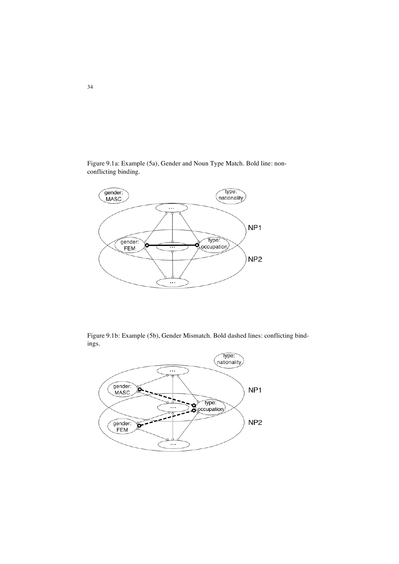Figure 9.1a: Example (5a), Gender and Noun Type Match. Bold line: nonconflicting binding.



Figure 9.1b: Example (5b), Gender Mismatch. Bold dashed lines: conflicting bindings.